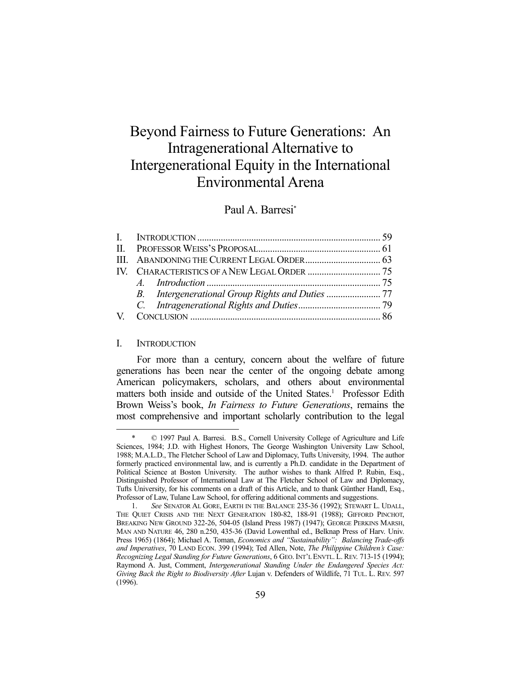# Beyond Fairness to Future Generations: An Intragenerational Alternative to Intergenerational Equity in the International Environmental Arena

# Paul A. Barresi\*

#### I. INTRODUCTION

1

 For more than a century, concern about the welfare of future generations has been near the center of the ongoing debate among American policymakers, scholars, and others about environmental matters both inside and outside of the United States.<sup>1</sup> Professor Edith Brown Weiss's book, *In Fairness to Future Generations*, remains the most comprehensive and important scholarly contribution to the legal

 <sup>\* © 1997</sup> Paul A. Barresi. B.S., Cornell University College of Agriculture and Life Sciences, 1984; J.D. with Highest Honors, The George Washington University Law School, 1988; M.A.L.D., The Fletcher School of Law and Diplomacy, Tufts University, 1994. The author formerly practiced environmental law, and is currently a Ph.D. candidate in the Department of Political Science at Boston University. The author wishes to thank Alfred P. Rubin, Esq., Distinguished Professor of International Law at The Fletcher School of Law and Diplomacy, Tufts University, for his comments on a draft of this Article, and to thank Günther Handl, Esq., Professor of Law, Tulane Law School, for offering additional comments and suggestions.

 <sup>1.</sup> *See* SENATOR AL GORE, EARTH IN THE BALANCE 235-36 (1992); STEWART L. UDALL, THE QUIET CRISIS AND THE NEXT GENERATION 180-82, 188-91 (1988); GIFFORD PINCHOT, BREAKING NEW GROUND 322-26, 504-05 (Island Press 1987) (1947); GEORGE PERKINS MARSH, MAN AND NATURE 46, 280 n.250, 435-36 (David Lowenthal ed., Belknap Press of Harv. Univ. Press 1965) (1864); Michael A. Toman, *Economics and "Sustainability": Balancing Trade-offs and Imperatives*, 70 LAND ECON. 399 (1994); Ted Allen, Note, *The Philippine Children's Case: Recognizing Legal Standing for Future Generations*, 6 GEO. INT'L ENVTL. L. REV. 713-15 (1994); Raymond A. Just, Comment, *Intergenerational Standing Under the Endangered Species Act: Giving Back the Right to Biodiversity After* Lujan v. Defenders of Wildlife, 71 TUL. L. REV. 597 (1996).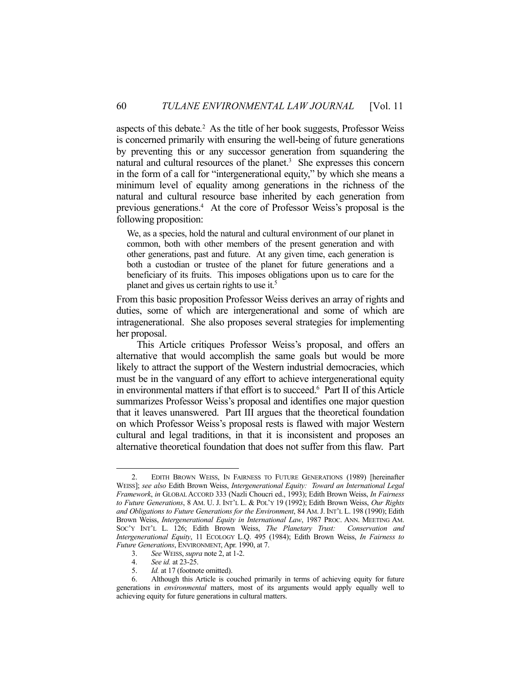aspects of this debate*.* 2 As the title of her book suggests, Professor Weiss is concerned primarily with ensuring the well-being of future generations by preventing this or any successor generation from squandering the natural and cultural resources of the planet.<sup>3</sup> She expresses this concern in the form of a call for "intergenerational equity," by which she means a minimum level of equality among generations in the richness of the natural and cultural resource base inherited by each generation from previous generations.4 At the core of Professor Weiss's proposal is the following proposition:

We, as a species, hold the natural and cultural environment of our planet in common, both with other members of the present generation and with other generations, past and future. At any given time, each generation is both a custodian or trustee of the planet for future generations and a beneficiary of its fruits. This imposes obligations upon us to care for the planet and gives us certain rights to use it.5

From this basic proposition Professor Weiss derives an array of rights and duties, some of which are intergenerational and some of which are intragenerational. She also proposes several strategies for implementing her proposal.

 This Article critiques Professor Weiss's proposal, and offers an alternative that would accomplish the same goals but would be more likely to attract the support of the Western industrial democracies, which must be in the vanguard of any effort to achieve intergenerational equity in environmental matters if that effort is to succeed.6 Part II of this Article summarizes Professor Weiss's proposal and identifies one major question that it leaves unanswered. Part III argues that the theoretical foundation on which Professor Weiss's proposal rests is flawed with major Western cultural and legal traditions, in that it is inconsistent and proposes an alternative theoretical foundation that does not suffer from this flaw. Part

 <sup>2.</sup> EDITH BROWN WEISS, IN FAIRNESS TO FUTURE GENERATIONS (1989) [hereinafter WEISS]; *see also* Edith Brown Weiss, *Intergenerational Equity: Toward an International Legal Framework*, *in* GLOBAL ACCORD 333 (Nazli Choucri ed., 1993); Edith Brown Weiss, *In Fairness to Future Generations*, 8 AM. U. J. INT'L L. & POL'Y 19 (1992); Edith Brown Weiss, *Our Rights and Obligations to Future Generations for the Environment*, 84 AM. J. INT'L L. 198 (1990); Edith Brown Weiss, *Intergenerational Equity in International Law*, 1987 PROC. ANN. MEETING AM. SOC'Y INT'L L. 126; Edith Brown Weiss, *The Planetary Trust: Conservation and Intergenerational Equity*, 11 ECOLOGY L.Q. 495 (1984); Edith Brown Weiss, *In Fairness to Future Generations*, ENVIRONMENT, Apr. 1990, at 7.

 <sup>3.</sup> *See* WEISS, *supra* note 2, at 1-2.

 <sup>4.</sup> *See id.* at 23-25.

 <sup>5.</sup> *Id.* at 17 (footnote omitted).

 <sup>6.</sup> Although this Article is couched primarily in terms of achieving equity for future generations in *environmental* matters, most of its arguments would apply equally well to achieving equity for future generations in cultural matters.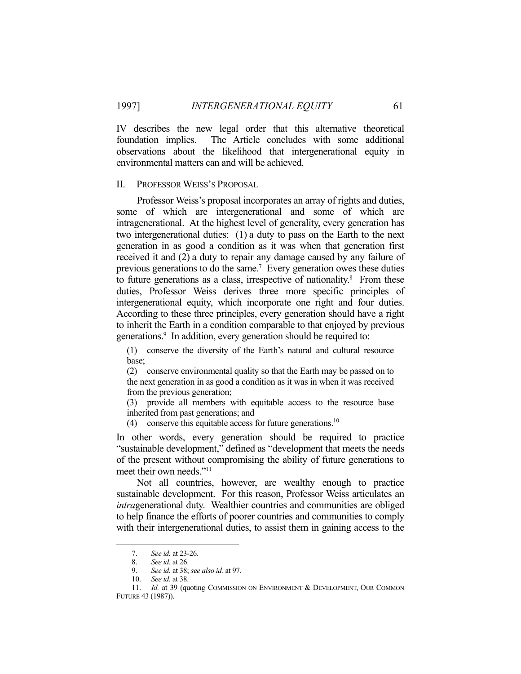IV describes the new legal order that this alternative theoretical foundation implies. The Article concludes with some additional observations about the likelihood that intergenerational equity in environmental matters can and will be achieved.

#### II. PROFESSOR WEISS'S PROPOSAL

 Professor Weiss's proposal incorporates an array of rights and duties, some of which are intergenerational and some of which are intragenerational. At the highest level of generality, every generation has two intergenerational duties: (1) a duty to pass on the Earth to the next generation in as good a condition as it was when that generation first received it and (2) a duty to repair any damage caused by any failure of previous generations to do the same.<sup>7</sup> Every generation owes these duties to future generations as a class, irrespective of nationality. $8$  From these duties, Professor Weiss derives three more specific principles of intergenerational equity, which incorporate one right and four duties. According to these three principles, every generation should have a right to inherit the Earth in a condition comparable to that enjoyed by previous generations.<sup>9</sup> In addition, every generation should be required to:

(1) conserve the diversity of the Earth's natural and cultural resource base;

(2) conserve environmental quality so that the Earth may be passed on to the next generation in as good a condition as it was in when it was received from the previous generation;

(3) provide all members with equitable access to the resource base inherited from past generations; and

(4) conserve this equitable access for future generations.<sup>10</sup>

In other words, every generation should be required to practice "sustainable development," defined as "development that meets the needs of the present without compromising the ability of future generations to meet their own needs."11

 Not all countries, however, are wealthy enough to practice sustainable development. For this reason, Professor Weiss articulates an *intra*generational duty. Wealthier countries and communities are obliged to help finance the efforts of poorer countries and communities to comply with their intergenerational duties, to assist them in gaining access to the

 <sup>7.</sup> *See id.* at 23-26.

 <sup>8.</sup> *See id.* at 26.

 <sup>9.</sup> *See id.* at 38; *see also id.* at 97.

 <sup>10.</sup> *See id.* at 38.

 <sup>11.</sup> *Id.* at 39 (quoting COMMISSION ON ENVIRONMENT & DEVELOPMENT, OUR COMMON FUTURE 43 (1987)).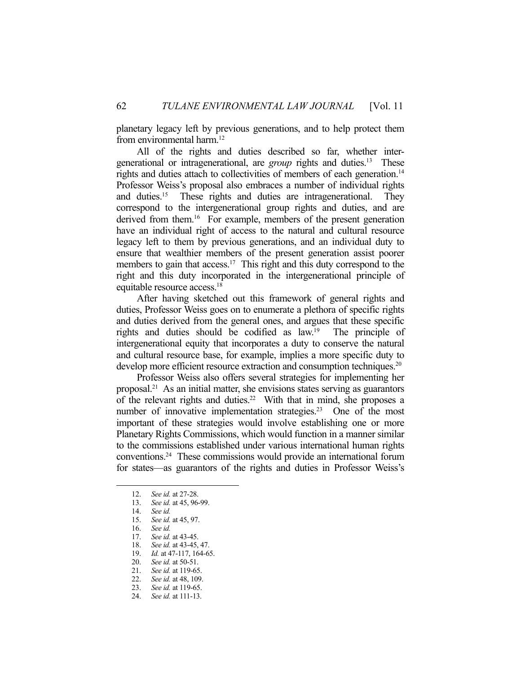planetary legacy left by previous generations, and to help protect them from environmental harm.<sup>12</sup>

 All of the rights and duties described so far, whether intergenerational or intragenerational, are *group* rights and duties.13 These rights and duties attach to collectivities of members of each generation.<sup>14</sup> Professor Weiss's proposal also embraces a number of individual rights and duties.15 These rights and duties are intragenerational. They correspond to the intergenerational group rights and duties, and are derived from them.<sup>16</sup> For example, members of the present generation have an individual right of access to the natural and cultural resource legacy left to them by previous generations, and an individual duty to ensure that wealthier members of the present generation assist poorer members to gain that access.<sup>17</sup> This right and this duty correspond to the right and this duty incorporated in the intergenerational principle of equitable resource access.18

 After having sketched out this framework of general rights and duties, Professor Weiss goes on to enumerate a plethora of specific rights and duties derived from the general ones, and argues that these specific rights and duties should be codified as law.19 The principle of intergenerational equity that incorporates a duty to conserve the natural and cultural resource base, for example, implies a more specific duty to develop more efficient resource extraction and consumption techniques.<sup>20</sup>

 Professor Weiss also offers several strategies for implementing her proposal.21 As an initial matter, she envisions states serving as guarantors of the relevant rights and duties.<sup>22</sup> With that in mind, she proposes a number of innovative implementation strategies.<sup>23</sup> One of the most important of these strategies would involve establishing one or more Planetary Rights Commissions, which would function in a manner similar to the commissions established under various international human rights conventions.24 These commissions would provide an international forum for states—as guarantors of the rights and duties in Professor Weiss's

 <sup>12.</sup> *See id.* at 27-28.

 <sup>13.</sup> *See id.* at 45, 96-99.

 <sup>14.</sup> *See id.*

 <sup>15.</sup> *See id.* at 45, 97.

 <sup>16.</sup> *See id.*

 <sup>17.</sup> *See id.* at 43-45.

<sup>18.</sup> *See id.* at 43-45, 47.<br>19. *Id.* at 47-117, 164-6.

<sup>19.</sup> *Id.* at 47-117, 164-65.<br>20. *See id.* at 50-51.

 <sup>20.</sup> *See id.* at 50-51.

See id. at 119-65.

<sup>21.</sup> *See id.* at 48, 109.<br>23. *See id.* at 119-65. 23. *See id.* at 119-65.

 <sup>24.</sup> *See id.* at 111-13.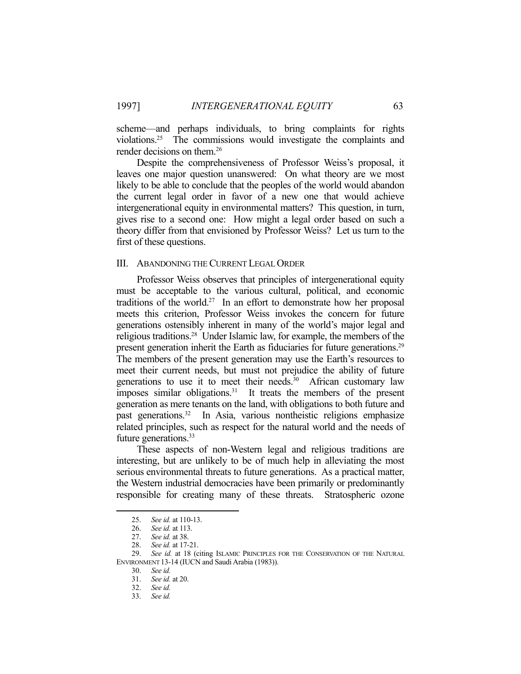scheme—and perhaps individuals, to bring complaints for rights violations.25 The commissions would investigate the complaints and render decisions on them.26

 Despite the comprehensiveness of Professor Weiss's proposal, it leaves one major question unanswered: On what theory are we most likely to be able to conclude that the peoples of the world would abandon the current legal order in favor of a new one that would achieve intergenerational equity in environmental matters? This question, in turn, gives rise to a second one: How might a legal order based on such a theory differ from that envisioned by Professor Weiss? Let us turn to the first of these questions.

#### III. ABANDONING THE CURRENT LEGAL ORDER

 Professor Weiss observes that principles of intergenerational equity must be acceptable to the various cultural, political, and economic traditions of the world.<sup>27</sup> In an effort to demonstrate how her proposal meets this criterion, Professor Weiss invokes the concern for future generations ostensibly inherent in many of the world's major legal and religious traditions.28 Under Islamic law, for example, the members of the present generation inherit the Earth as fiduciaries for future generations.<sup>29</sup> The members of the present generation may use the Earth's resources to meet their current needs, but must not prejudice the ability of future generations to use it to meet their needs.<sup>30</sup> African customary law imposes similar obligations.31 It treats the members of the present generation as mere tenants on the land, with obligations to both future and past generations.32 In Asia, various nontheistic religions emphasize related principles, such as respect for the natural world and the needs of future generations.<sup>33</sup>

 These aspects of non-Western legal and religious traditions are interesting, but are unlikely to be of much help in alleviating the most serious environmental threats to future generations. As a practical matter, the Western industrial democracies have been primarily or predominantly responsible for creating many of these threats. Stratospheric ozone

 <sup>25.</sup> *See id.* at 110-13.

 <sup>26.</sup> *See id.* at 113.

 <sup>27.</sup> *See id.* at 38.

 <sup>28.</sup> *See id.* at 17-21.

 <sup>29.</sup> *See id.* at 18 (citing ISLAMIC PRINCIPLES FOR THE CONSERVATION OF THE NATURAL ENVIRONMENT 13-14 (IUCN and Saudi Arabia (1983)).

 <sup>30.</sup> *See id.*

 <sup>31.</sup> *See id.* at 20.

 <sup>32.</sup> *See id.*

 <sup>33.</sup> *See id.*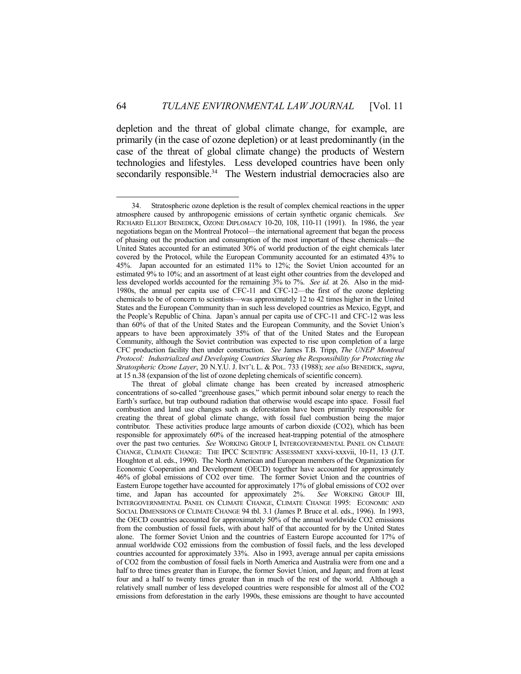depletion and the threat of global climate change, for example, are primarily (in the case of ozone depletion) or at least predominantly (in the case of the threat of global climate change) the products of Western technologies and lifestyles. Less developed countries have been only secondarily responsible.<sup>34</sup> The Western industrial democracies also are

 <sup>34.</sup> Stratospheric ozone depletion is the result of complex chemical reactions in the upper atmosphere caused by anthropogenic emissions of certain synthetic organic chemicals. *See* RICHARD ELLIOT BENEDICK, OZONE DIPLOMACY 10-20, 108, 110-11 (1991). In 1986, the year negotiations began on the Montreal Protocol—the international agreement that began the process of phasing out the production and consumption of the most important of these chemicals—the United States accounted for an estimated 30% of world production of the eight chemicals later covered by the Protocol, while the European Community accounted for an estimated 43% to 45%. Japan accounted for an estimated 11% to 12%; the Soviet Union accounted for an estimated 9% to 10%; and an assortment of at least eight other countries from the developed and less developed worlds accounted for the remaining 3% to 7%. *See id.* at 26. Also in the mid-1980s, the annual per capita use of CFC-11 and CFC-12—the first of the ozone depleting chemicals to be of concern to scientists—was approximately 12 to 42 times higher in the United States and the European Community than in such less developed countries as Mexico, Egypt, and the People's Republic of China. Japan's annual per capita use of CFC-11 and CFC-12 was less than 60% of that of the United States and the European Community, and the Soviet Union's appears to have been approximately 35% of that of the United States and the European Community, although the Soviet contribution was expected to rise upon completion of a large CFC production facility then under construction. *See* James T.B. Tripp, *The UNEP Montreal Protocol: Industrialized and Developing Countries Sharing the Responsibility for Protecting the Stratospheric Ozone Layer*, 20 N.Y.U. J. INT'L L. & POL. 733 (1988); *see also* BENEDICK, *supra*, at 15 n.38 (expansion of the list of ozone depleting chemicals of scientific concern).

The threat of global climate change has been created by increased atmospheric concentrations of so-called "greenhouse gases," which permit inbound solar energy to reach the Earth's surface, but trap outbound radiation that otherwise would escape into space. Fossil fuel combustion and land use changes such as deforestation have been primarily responsible for creating the threat of global climate change, with fossil fuel combustion being the major contributor. These activities produce large amounts of carbon dioxide (CO2), which has been responsible for approximately 60% of the increased heat-trapping potential of the atmosphere over the past two centuries. *See* WORKING GROUP I, INTERGOVERNMENTAL PANEL ON CLIMATE CHANGE, CLIMATE CHANGE: THE IPCC SCIENTIFIC ASSESSMENT xxxvi-xxxvii, 10-11, 13 (J.T. Houghton et al. eds., 1990). The North American and European members of the Organization for Economic Cooperation and Development (OECD) together have accounted for approximately 46% of global emissions of CO2 over time. The former Soviet Union and the countries of Eastern Europe together have accounted for approximately 17% of global emissions of CO2 over time, and Japan has accounted for approximately 2%. *See* WORKING GROUP III, INTERGOVERNMENTAL PANEL ON CLIMATE CHANGE, CLIMATE CHANGE 1995: ECONOMIC AND SOCIAL DIMENSIONS OF CLIMATE CHANGE 94 tbl. 3.1 (James P. Bruce et al. eds., 1996). In 1993, the OECD countries accounted for approximately 50% of the annual worldwide CO2 emissions from the combustion of fossil fuels, with about half of that accounted for by the United States alone. The former Soviet Union and the countries of Eastern Europe accounted for 17% of annual worldwide CO2 emissions from the combustion of fossil fuels, and the less developed countries accounted for approximately 33%. Also in 1993, average annual per capita emissions of CO2 from the combustion of fossil fuels in North America and Australia were from one and a half to three times greater than in Europe, the former Soviet Union, and Japan; and from at least four and a half to twenty times greater than in much of the rest of the world. Although a relatively small number of less developed countries were responsible for almost all of the CO2 emissions from deforestation in the early 1990s, these emissions are thought to have accounted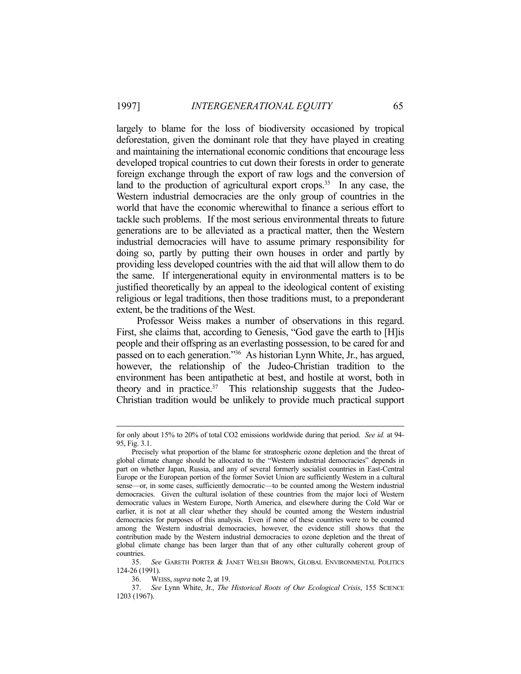largely to blame for the loss of biodiversity occasioned by tropical deforestation, given the dominant role that they have played in creating and maintaining the international economic conditions that encourage less developed tropical countries to cut down their forests in order to generate foreign exchange through the export of raw logs and the conversion of land to the production of agricultural export crops.<sup>35</sup> In any case, the Western industrial democracies are the only group of countries in the world that have the economic wherewithal to finance a serious effort to tackle such problems. If the most serious environmental threats to future generations are to be alleviated as a practical matter, then the Western industrial democracies will have to assume primary responsibility for doing so, partly by putting their own houses in order and partly by providing less developed countries with the aid that will allow them to do the same. If intergenerational equity in environmental matters is to be justified theoretically by an appeal to the ideological content of existing religious or legal traditions, then those traditions must, to a preponderant extent, be the traditions of the West.

 Professor Weiss makes a number of observations in this regard. First, she claims that, according to Genesis, "God gave the earth to [H]is people and their offspring as an everlasting possession, to be cared for and passed on to each generation."36 As historian Lynn White, Jr., has argued, however, the relationship of the Judeo-Christian tradition to the environment has been antipathetic at best, and hostile at worst, both in theory and in practice. $37$  This relationship suggests that the Judeo-Christian tradition would be unlikely to provide much practical support

for only about 15% to 20% of total CO2 emissions worldwide during that period. *See id.* at 94- 95, Fig. 3.1.

Precisely what proportion of the blame for stratospheric ozone depletion and the threat of global climate change should be allocated to the "Western industrial democracies" depends in part on whether Japan, Russia, and any of several formerly socialist countries in East-Central Europe or the European portion of the former Soviet Union are sufficiently Western in a cultural sense—or, in some cases, sufficiently democratic—to be counted among the Western industrial democracies. Given the cultural isolation of these countries from the major loci of Western democratic values in Western Europe, North America, and elsewhere during the Cold War or earlier, it is not at all clear whether they should be counted among the Western industrial democracies for purposes of this analysis. Even if none of these countries were to be counted among the Western industrial democracies, however, the evidence still shows that the contribution made by the Western industrial democracies to ozone depletion and the threat of global climate change has been larger than that of any other culturally coherent group of countries.

 <sup>35.</sup> *See* GARETH PORTER & JANET WELSH BROWN, GLOBAL ENVIRONMENTAL POLITICS 124-26 (1991).

 <sup>36.</sup> WEISS, *supra* note 2, at 19.

 <sup>37.</sup> *See* Lynn White, Jr., *The Historical Roots of Our Ecological Crisis*, 155 SCIENCE 1203 (1967).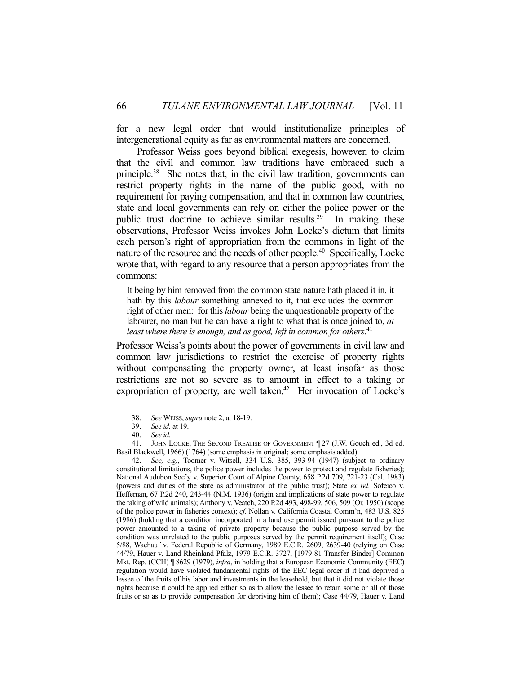for a new legal order that would institutionalize principles of intergenerational equity as far as environmental matters are concerned.

 Professor Weiss goes beyond biblical exegesis, however, to claim that the civil and common law traditions have embraced such a principle.38 She notes that, in the civil law tradition, governments can restrict property rights in the name of the public good, with no requirement for paying compensation, and that in common law countries, state and local governments can rely on either the police power or the public trust doctrine to achieve similar results.<sup>39</sup> In making these observations, Professor Weiss invokes John Locke's dictum that limits each person's right of appropriation from the commons in light of the nature of the resource and the needs of other people.40 Specifically, Locke wrote that, with regard to any resource that a person appropriates from the commons:

It being by him removed from the common state nature hath placed it in, it hath by this *labour* something annexed to it, that excludes the common right of other men: for this *labour* being the unquestionable property of the labourer, no man but he can have a right to what that is once joined to, *at least where there is enough, and as good, left in common for others*. 41

Professor Weiss's points about the power of governments in civil law and common law jurisdictions to restrict the exercise of property rights without compensating the property owner, at least insofar as those restrictions are not so severe as to amount in effect to a taking or expropriation of property, are well taken.<sup>42</sup> Her invocation of Locke's

1

 42. *See, e.g.*, Toomer v. Witsell, 334 U.S. 385, 393-94 (1947) (subject to ordinary constitutional limitations, the police power includes the power to protect and regulate fisheries); National Audubon Soc'y v. Superior Court of Alpine County, 658 P.2d 709, 721-23 (Cal. 1983) (powers and duties of the state as administrator of the public trust); State *ex rel.* Sofeico v. Heffernan, 67 P.2d 240, 243-44 (N.M. 1936) (origin and implications of state power to regulate the taking of wild animals); Anthony v. Veatch, 220 P.2d 493, 498-99, 506, 509 (Or. 1950) (scope of the police power in fisheries context); *cf.* Nollan v. California Coastal Comm'n, 483 U.S. 825 (1986) (holding that a condition incorporated in a land use permit issued pursuant to the police power amounted to a taking of private property because the public purpose served by the condition was unrelated to the public purposes served by the permit requirement itself); Case 5/88, Wachauf v. Federal Republic of Germany, 1989 E.C.R. 2609, 2639-40 (relying on Case 44/79, Hauer v. Land Rheinland-Pfalz, 1979 E.C.R. 3727, [1979-81 Transfer Binder] Common Mkt. Rep. (CCH) ¶ 8629 (1979), *infra*, in holding that a European Economic Community (EEC) regulation would have violated fundamental rights of the EEC legal order if it had deprived a lessee of the fruits of his labor and investments in the leasehold, but that it did not violate those rights because it could be applied either so as to allow the lessee to retain some or all of those fruits or so as to provide compensation for depriving him of them); Case 44/79, Hauer v. Land

 <sup>38.</sup> *See* WEISS, *supra* note 2, at 18-19.

 <sup>39.</sup> *See id.* at 19.

 <sup>40.</sup> *See id.*

 <sup>41.</sup> JOHN LOCKE, THE SECOND TREATISE OF GOVERNMENT ¶ 27 (J.W. Gouch ed., 3d ed. Basil Blackwell, 1966) (1764) (some emphasis in original; some emphasis added).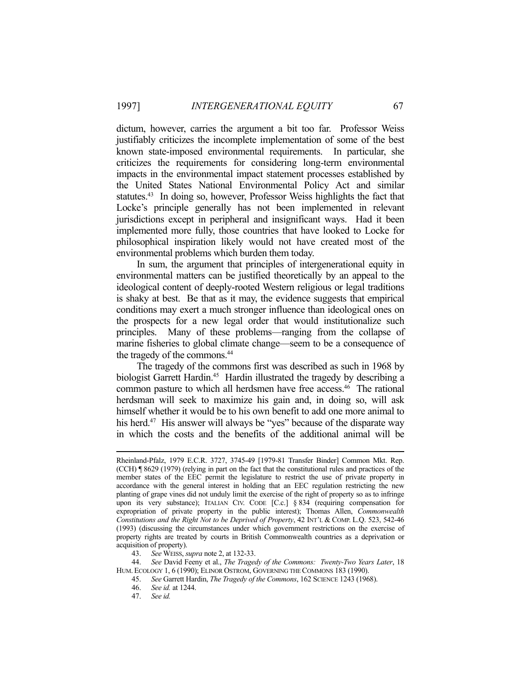dictum, however, carries the argument a bit too far. Professor Weiss justifiably criticizes the incomplete implementation of some of the best known state-imposed environmental requirements. In particular, she criticizes the requirements for considering long-term environmental impacts in the environmental impact statement processes established by the United States National Environmental Policy Act and similar statutes.43 In doing so, however, Professor Weiss highlights the fact that Locke's principle generally has not been implemented in relevant jurisdictions except in peripheral and insignificant ways. Had it been implemented more fully, those countries that have looked to Locke for philosophical inspiration likely would not have created most of the environmental problems which burden them today.

 In sum, the argument that principles of intergenerational equity in environmental matters can be justified theoretically by an appeal to the ideological content of deeply-rooted Western religious or legal traditions is shaky at best. Be that as it may, the evidence suggests that empirical conditions may exert a much stronger influence than ideological ones on the prospects for a new legal order that would institutionalize such principles. Many of these problems—ranging from the collapse of marine fisheries to global climate change—seem to be a consequence of the tragedy of the commons.44

 The tragedy of the commons first was described as such in 1968 by biologist Garrett Hardin.<sup>45</sup> Hardin illustrated the tragedy by describing a common pasture to which all herdsmen have free access.<sup>46</sup> The rational herdsman will seek to maximize his gain and, in doing so, will ask himself whether it would be to his own benefit to add one more animal to his herd.<sup>47</sup> His answer will always be "yes" because of the disparate way in which the costs and the benefits of the additional animal will be

Rheinland-Pfalz, 1979 E.C.R. 3727, 3745-49 [1979-81 Transfer Binder] Common Mkt. Rep. (CCH) ¶ 8629 (1979) (relying in part on the fact that the constitutional rules and practices of the member states of the EEC permit the legislature to restrict the use of private property in accordance with the general interest in holding that an EEC regulation restricting the new planting of grape vines did not unduly limit the exercise of the right of property so as to infringe upon its very substance); ITALIAN CIV. CODE [C.c.] § 834 (requiring compensation for expropriation of private property in the public interest); Thomas Allen, *Commonwealth Constitutions and the Right Not to be Deprived of Property*, 42 INT'L & COMP. L.Q. 523, 542-46 (1993) (discussing the circumstances under which government restrictions on the exercise of property rights are treated by courts in British Commonwealth countries as a deprivation or acquisition of property).

 <sup>43.</sup> *See* WEISS, *supra* note 2, at 132-33.

 <sup>44.</sup> *See* David Feeny et al., *The Tragedy of the Commons: Twenty-Two Years Later*, 18 HUM. ECOLOGY 1, 6 (1990); ELINOR OSTROM, GOVERNING THE COMMONS 183 (1990).

 <sup>45.</sup> *See* Garrett Hardin, *The Tragedy of the Commons*, 162 SCIENCE 1243 (1968).

 <sup>46.</sup> *See id.* at 1244.

 <sup>47.</sup> *See id.*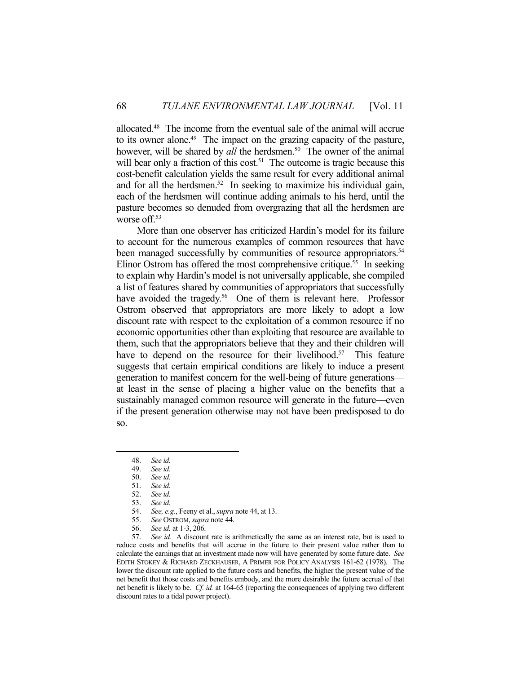allocated.48 The income from the eventual sale of the animal will accrue to its owner alone.<sup>49</sup> The impact on the grazing capacity of the pasture, however, will be shared by *all* the herdsmen.<sup>50</sup> The owner of the animal will bear only a fraction of this cost.<sup>51</sup> The outcome is tragic because this cost-benefit calculation yields the same result for every additional animal and for all the herdsmen.<sup>52</sup> In seeking to maximize his individual gain, each of the herdsmen will continue adding animals to his herd, until the pasture becomes so denuded from overgrazing that all the herdsmen are worse off.<sup>53</sup>

 More than one observer has criticized Hardin's model for its failure to account for the numerous examples of common resources that have been managed successfully by communities of resource appropriators.<sup>54</sup> Elinor Ostrom has offered the most comprehensive critique.<sup>55</sup> In seeking to explain why Hardin's model is not universally applicable, she compiled a list of features shared by communities of appropriators that successfully have avoided the tragedy.<sup>56</sup> One of them is relevant here. Professor Ostrom observed that appropriators are more likely to adopt a low discount rate with respect to the exploitation of a common resource if no economic opportunities other than exploiting that resource are available to them, such that the appropriators believe that they and their children will have to depend on the resource for their livelihood.<sup>57</sup> This feature suggests that certain empirical conditions are likely to induce a present generation to manifest concern for the well-being of future generations at least in the sense of placing a higher value on the benefits that a sustainably managed common resource will generate in the future—even if the present generation otherwise may not have been predisposed to do so.

1

 57. *See id.* A discount rate is arithmetically the same as an interest rate, but is used to reduce costs and benefits that will accrue in the future to their present value rather than to calculate the earnings that an investment made now will have generated by some future date. *See* EDITH STOKEY & RICHARD ZECKHAUSER, A PRIMER FOR POLICY ANALYSIS 161-62 (1978). The lower the discount rate applied to the future costs and benefits, the higher the present value of the net benefit that those costs and benefits embody, and the more desirable the future accrual of that net benefit is likely to be. *Cf. id.* at 164-65 (reporting the consequences of applying two different discount rates to a tidal power project).

 <sup>48.</sup> *See id.*

 <sup>49.</sup> *See id.*

 <sup>50.</sup> *See id.*

See id.

 <sup>52.</sup> *See id.*

 <sup>53.</sup> *See id.*

See, e.g., Feeny et al., *supra* note 44, at 13.

 <sup>55.</sup> *See* OSTROM, *supra* note 44.

 <sup>56.</sup> *See id.* at 1-3, 206.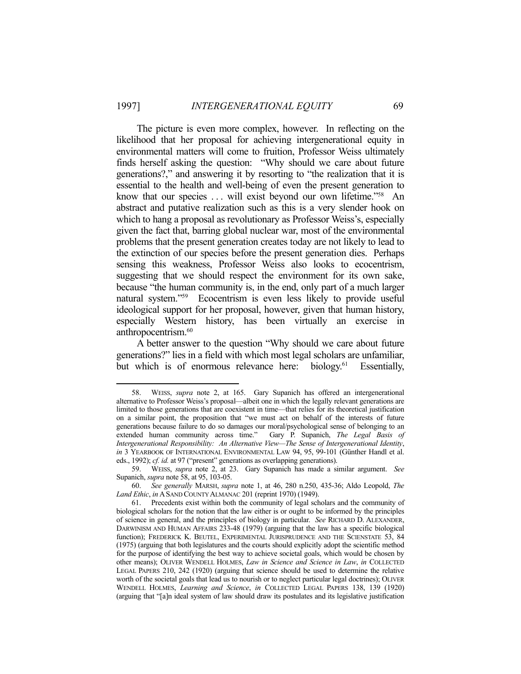The picture is even more complex, however. In reflecting on the likelihood that her proposal for achieving intergenerational equity in environmental matters will come to fruition, Professor Weiss ultimately finds herself asking the question: "Why should we care about future generations?," and answering it by resorting to "the realization that it is essential to the health and well-being of even the present generation to know that our species ... will exist beyond our own lifetime."<sup>58</sup> An abstract and putative realization such as this is a very slender hook on which to hang a proposal as revolutionary as Professor Weiss's, especially given the fact that, barring global nuclear war, most of the environmental problems that the present generation creates today are not likely to lead to the extinction of our species before the present generation dies. Perhaps sensing this weakness, Professor Weiss also looks to ecocentrism, suggesting that we should respect the environment for its own sake, because "the human community is, in the end, only part of a much larger natural system."59 Ecocentrism is even less likely to provide useful ideological support for her proposal, however, given that human history, especially Western history, has been virtually an exercise in anthropocentrism.<sup>60</sup>

 A better answer to the question "Why should we care about future generations?" lies in a field with which most legal scholars are unfamiliar, but which is of enormous relevance here: biology.<sup>61</sup> Essentially,

 <sup>58.</sup> WEISS, *supra* note 2, at 165. Gary Supanich has offered an intergenerational alternative to Professor Weiss's proposal—albeit one in which the legally relevant generations are limited to those generations that are coexistent in time—that relies for its theoretical justification on a similar point, the proposition that "we must act on behalf of the interests of future generations because failure to do so damages our moral/psychological sense of belonging to an extended human community across time." Gary P. Supanich, *The Legal Basis of Intergenerational Responsibility: An Alternative View—The Sense of Intergenerational Identity*, *in* 3 YEARBOOK OF INTERNATIONAL ENVIRONMENTAL LAW 94, 95, 99-101 (Günther Handl et al. eds., 1992); *cf. id.* at 97 ("present" generations as overlapping generations).

 <sup>59.</sup> WEISS, *supra* note 2, at 23. Gary Supanich has made a similar argument. *See* Supanich, *supra* note 58, at 95, 103-05.

 <sup>60.</sup> *See generally* MARSH, *supra* note 1, at 46, 280 n.250, 435-36; Aldo Leopold, *The Land Ethic*, *in* ASAND COUNTY ALMANAC 201 (reprint 1970) (1949).

 <sup>61.</sup> Precedents exist within both the community of legal scholars and the community of biological scholars for the notion that the law either is or ought to be informed by the principles of science in general, and the principles of biology in particular. *See* RICHARD D. ALEXANDER, DARWINISM AND HUMAN AFFAIRS 233-48 (1979) (arguing that the law has a specific biological function); FREDERICK K. BEUTEL, EXPERIMENTAL JURISPRUDENCE AND THE SCIENSTATE 53, 84 (1975) (arguing that both legislatures and the courts should explicitly adopt the scientific method for the purpose of identifying the best way to achieve societal goals, which would be chosen by other means); OLIVER WENDELL HOLMES, *Law in Science and Science in Law*, *in* COLLECTED LEGAL PAPERS 210, 242 (1920) (arguing that science should be used to determine the relative worth of the societal goals that lead us to nourish or to neglect particular legal doctrines); OLIVER WENDELL HOLMES, *Learning and Science*, *in* COLLECTED LEGAL PAPERS 138, 139 (1920) (arguing that "[a]n ideal system of law should draw its postulates and its legislative justification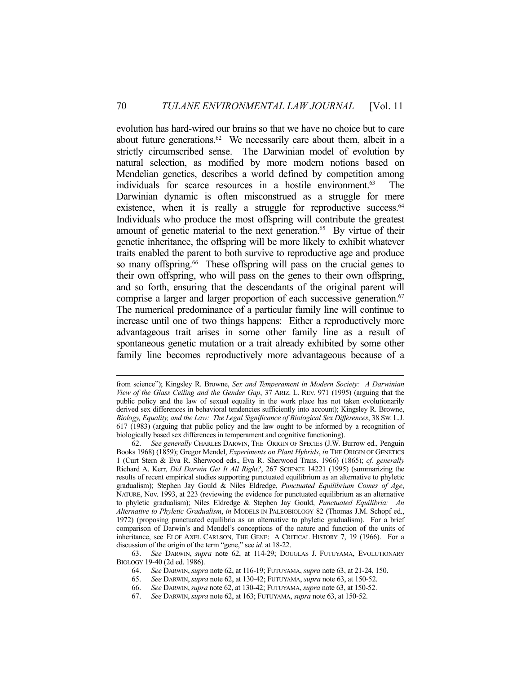evolution has hard-wired our brains so that we have no choice but to care about future generations.<sup>62</sup> We necessarily care about them, albeit in a strictly circumscribed sense. The Darwinian model of evolution by natural selection, as modified by more modern notions based on Mendelian genetics, describes a world defined by competition among individuals for scarce resources in a hostile environment.63 The Darwinian dynamic is often misconstrued as a struggle for mere existence, when it is really a struggle for reproductive success. $64$ Individuals who produce the most offspring will contribute the greatest amount of genetic material to the next generation.<sup>65</sup> By virtue of their genetic inheritance, the offspring will be more likely to exhibit whatever traits enabled the parent to both survive to reproductive age and produce so many offspring.<sup>66</sup> These offspring will pass on the crucial genes to their own offspring, who will pass on the genes to their own offspring, and so forth, ensuring that the descendants of the original parent will comprise a larger and larger proportion of each successive generation.<sup>67</sup> The numerical predominance of a particular family line will continue to increase until one of two things happens: Either a reproductively more advantageous trait arises in some other family line as a result of spontaneous genetic mutation or a trait already exhibited by some other family line becomes reproductively more advantageous because of a

from science"); Kingsley R. Browne, *Sex and Temperament in Modern Society: A Darwinian View of the Glass Ceiling and the Gender Gap*, 37 ARIZ. L. REV. 971 (1995) (arguing that the public policy and the law of sexual equality in the work place has not taken evolutionarily derived sex differences in behavioral tendencies sufficiently into account); Kingsley R. Browne, *Biology, Equality, and the Law: The Legal Significance of Biological Sex Differences*, 38 SW. L.J. 617 (1983) (arguing that public policy and the law ought to be informed by a recognition of biologically based sex differences in temperament and cognitive functioning).

 <sup>62.</sup> *See generally* CHARLES DARWIN, THE ORIGIN OF SPECIES (J.W. Burrow ed., Penguin Books 1968) (1859); Gregor Mendel, *Experiments on Plant Hybrids*, *in* THE ORIGIN OF GENETICS 1 (Curt Stern & Eva R. Sherwood eds., Eva R. Sherwood Trans. 1966) (1865); *cf. generally* Richard A. Kerr, *Did Darwin Get It All Right?*, 267 SCIENCE 14221 (1995) (summarizing the results of recent empirical studies supporting punctuated equilibrium as an alternative to phyletic gradualism); Stephen Jay Gould & Niles Eldredge, *Punctuated Equilibrium Comes of Age*, NATURE, Nov. 1993, at 223 (reviewing the evidence for punctuated equilibrium as an alternative to phyletic gradualism); Niles Eldredge & Stephen Jay Gould, *Punctuated Equilibria: An Alternative to Phyletic Gradualism*, *in* MODELS IN PALEOBIOLOGY 82 (Thomas J.M. Schopf ed., 1972) (proposing punctuated equilibria as an alternative to phyletic gradualism). For a brief comparison of Darwin's and Mendel's conceptions of the nature and function of the units of inheritance, see ELOF AXEL CARLSON, THE GENE: A CRITICAL HISTORY 7, 19 (1966). For a discussion of the origin of the term "gene," see *id.* at 18-22.

 <sup>63.</sup> *See* DARWIN, *supra* note 62, at 114-29; DOUGLAS J. FUTUYAMA, EVOLUTIONARY BIOLOGY 19-40 (2d ed. 1986).

 <sup>64.</sup> *See* DARWIN, *supra* note 62, at 116-19; FUTUYAMA, *supra* note 63, at 21-24, 150.

 <sup>65.</sup> *See* DARWIN, *supra* note 62, at 130-42; FUTUYAMA, *supra* note 63, at 150-52.

 <sup>66.</sup> *See* DARWIN,*supra* note 62, at 130-42; FUTUYAMA, *supra* note 63, at 150-52.

 <sup>67.</sup> *See* DARWIN, *supra* note 62, at 163; FUTUYAMA, *supra* note 63, at 150-52.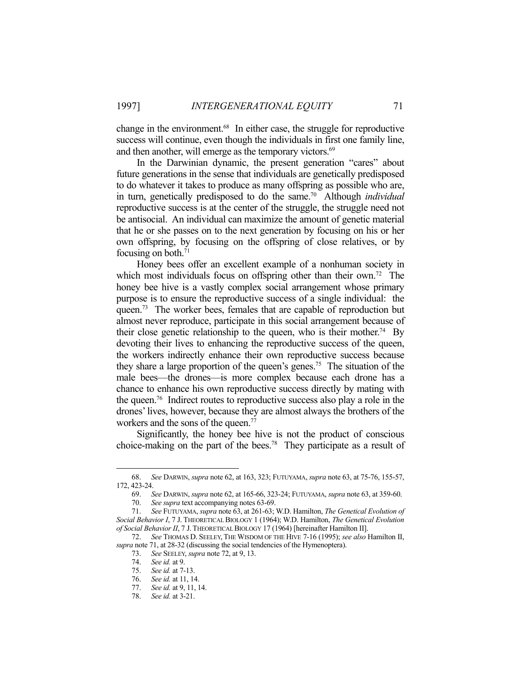change in the environment.68 In either case, the struggle for reproductive success will continue, even though the individuals in first one family line, and then another, will emerge as the temporary victors.<sup>69</sup>

 In the Darwinian dynamic, the present generation "cares" about future generations in the sense that individuals are genetically predisposed to do whatever it takes to produce as many offspring as possible who are, in turn, genetically predisposed to do the same.70 Although *individual* reproductive success is at the center of the struggle, the struggle need not be antisocial. An individual can maximize the amount of genetic material that he or she passes on to the next generation by focusing on his or her own offspring, by focusing on the offspring of close relatives, or by focusing on both.71

 Honey bees offer an excellent example of a nonhuman society in which most individuals focus on offspring other than their own.<sup>72</sup> The honey bee hive is a vastly complex social arrangement whose primary purpose is to ensure the reproductive success of a single individual: the queen.<sup>73</sup> The worker bees, females that are capable of reproduction but almost never reproduce, participate in this social arrangement because of their close genetic relationship to the queen, who is their mother.<sup>74</sup> By devoting their lives to enhancing the reproductive success of the queen, the workers indirectly enhance their own reproductive success because they share a large proportion of the queen's genes.75 The situation of the male bees—the drones—is more complex because each drone has a chance to enhance his own reproductive success directly by mating with the queen.76 Indirect routes to reproductive success also play a role in the drones' lives, however, because they are almost always the brothers of the workers and the sons of the queen.<sup>77</sup>

 Significantly, the honey bee hive is not the product of conscious choice-making on the part of the bees.<sup>78</sup> They participate as a result of

 <sup>68.</sup> *See* DARWIN, *supra* note 62, at 163, 323; FUTUYAMA, *supra* note 63, at 75-76, 155-57, 172, 423-24.

 <sup>69.</sup> *See* DARWIN, *supra* note 62, at 165-66, 323-24; FUTUYAMA, *supra* note 63, at 359-60.

 <sup>70.</sup> *See supra* text accompanying notes 63-69.

 <sup>71.</sup> *See* FUTUYAMA, *supra* note 63, at 261-63; W.D. Hamilton, *The Genetical Evolution of Social Behavior I*, 7 J. THEORETICAL BIOLOGY 1 (1964); W.D. Hamilton, *The Genetical Evolution of Social Behavior II*, 7 J.THEORETICAL BIOLOGY 17 (1964) [hereinafter Hamilton II].

 <sup>72.</sup> *See* THOMAS D. SEELEY, THE WISDOM OF THE HIVE 7-16 (1995); *see also* Hamilton II, *supra* note 71, at 28-32 (discussing the social tendencies of the Hymenoptera).

 <sup>73.</sup> *See* SEELEY, *supra* note 72, at 9, 13.

 <sup>74.</sup> *See id.* at 9.

 <sup>75.</sup> *See id.* at 7-13.

 <sup>76.</sup> *See id.* at 11, 14.

 <sup>77.</sup> *See id.* at 9, 11, 14.

 <sup>78.</sup> *See id.* at 3-21.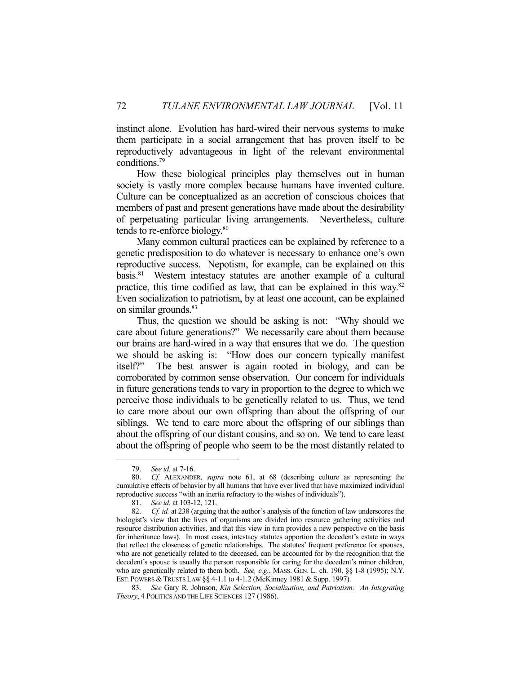instinct alone. Evolution has hard-wired their nervous systems to make them participate in a social arrangement that has proven itself to be reproductively advantageous in light of the relevant environmental conditions.79

 How these biological principles play themselves out in human society is vastly more complex because humans have invented culture. Culture can be conceptualized as an accretion of conscious choices that members of past and present generations have made about the desirability of perpetuating particular living arrangements. Nevertheless, culture tends to re-enforce biology.80

 Many common cultural practices can be explained by reference to a genetic predisposition to do whatever is necessary to enhance one's own reproductive success. Nepotism, for example, can be explained on this basis.81 Western intestacy statutes are another example of a cultural practice, this time codified as law, that can be explained in this way.82 Even socialization to patriotism, by at least one account, can be explained on similar grounds.<sup>83</sup>

 Thus, the question we should be asking is not: "Why should we care about future generations?" We necessarily care about them because our brains are hard-wired in a way that ensures that we do. The question we should be asking is: "How does our concern typically manifest itself?" The best answer is again rooted in biology, and can be corroborated by common sense observation. Our concern for individuals in future generations tends to vary in proportion to the degree to which we perceive those individuals to be genetically related to us. Thus, we tend to care more about our own offspring than about the offspring of our siblings. We tend to care more about the offspring of our siblings than about the offspring of our distant cousins, and so on. We tend to care least about the offspring of people who seem to be the most distantly related to

 <sup>79.</sup> *See id.* at 7-16.

 <sup>80.</sup> *Cf.* ALEXANDER, *supra* note 61, at 68 (describing culture as representing the cumulative effects of behavior by all humans that have ever lived that have maximized individual reproductive success "with an inertia refractory to the wishes of individuals").

 <sup>81.</sup> *See id.* at 103-12, 121.

 <sup>82.</sup> *Cf. id.* at 238 (arguing that the author's analysis of the function of law underscores the biologist's view that the lives of organisms are divided into resource gathering activities and resource distribution activities, and that this view in turn provides a new perspective on the basis for inheritance laws). In most cases, intestacy statutes apportion the decedent's estate in ways that reflect the closeness of genetic relationships. The statutes' frequent preference for spouses, who are not genetically related to the deceased, can be accounted for by the recognition that the decedent's spouse is usually the person responsible for caring for the decedent's minor children, who are genetically related to them both. *See, e.g.*, MASS. GEN. L. ch. 190, §§ 1-8 (1995); N.Y. EST. POWERS & TRUSTS LAW §§ 4-1.1 to 4-1.2 (McKinney 1981 & Supp. 1997).

 <sup>83.</sup> *See* Gary R. Johnson, *Kin Selection, Socialization, and Patriotism: An Integrating Theory*, 4 POLITICS AND THE LIFE SCIENCES 127 (1986).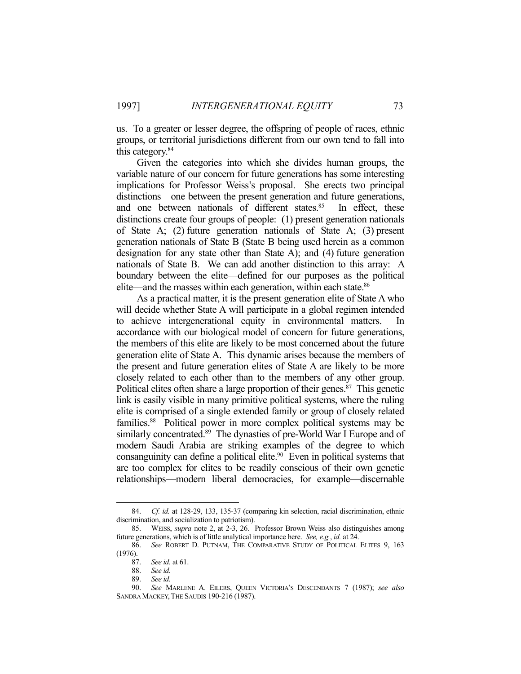us. To a greater or lesser degree, the offspring of people of races, ethnic groups, or territorial jurisdictions different from our own tend to fall into this category.84

 Given the categories into which she divides human groups, the variable nature of our concern for future generations has some interesting implications for Professor Weiss's proposal. She erects two principal distinctions—one between the present generation and future generations, and one between nationals of different states.<sup>85</sup> In effect, these distinctions create four groups of people: (1) present generation nationals of State A; (2) future generation nationals of State A; (3) present generation nationals of State B (State B being used herein as a common designation for any state other than State A); and (4) future generation nationals of State B. We can add another distinction to this array: A boundary between the elite—defined for our purposes as the political elite—and the masses within each generation, within each state.<sup>86</sup>

 As a practical matter, it is the present generation elite of State A who will decide whether State A will participate in a global regimen intended to achieve intergenerational equity in environmental matters. accordance with our biological model of concern for future generations, the members of this elite are likely to be most concerned about the future generation elite of State A. This dynamic arises because the members of the present and future generation elites of State A are likely to be more closely related to each other than to the members of any other group. Political elites often share a large proportion of their genes.<sup>87</sup> This genetic link is easily visible in many primitive political systems, where the ruling elite is comprised of a single extended family or group of closely related families.<sup>88</sup> Political power in more complex political systems may be similarly concentrated.<sup>89</sup> The dynasties of pre-World War I Europe and of modern Saudi Arabia are striking examples of the degree to which consanguinity can define a political elite.<sup>90</sup> Even in political systems that are too complex for elites to be readily conscious of their own genetic relationships—modern liberal democracies, for example—discernable

 <sup>84.</sup> *Cf. id.* at 128-29, 133, 135-37 (comparing kin selection, racial discrimination, ethnic discrimination, and socialization to patriotism).

 <sup>85.</sup> WEISS, *supra* note 2, at 2-3, 26. Professor Brown Weiss also distinguishes among future generations, which is of little analytical importance here. *See, e.g.*, *id.* at 24.

 <sup>86.</sup> *See* ROBERT D. PUTNAM, THE COMPARATIVE STUDY OF POLITICAL ELITES 9, 163 (1976).

 <sup>87.</sup> *See id.* at 61.

 <sup>88.</sup> *See id.*

 <sup>89.</sup> *See id.*

 <sup>90.</sup> *See* MARLENE A. EILERS, QUEEN VICTORIA'S DESCENDANTS 7 (1987); *see also* SANDRA MACKEY,THE SAUDIS 190-216 (1987).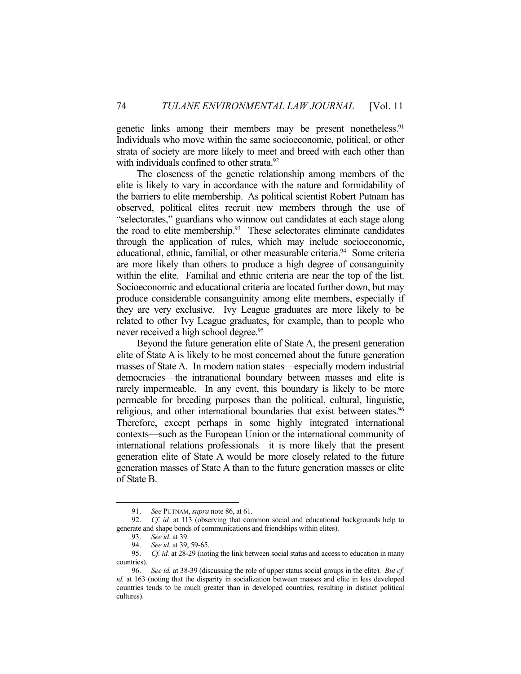genetic links among their members may be present nonetheless.<sup>91</sup> Individuals who move within the same socioeconomic, political, or other strata of society are more likely to meet and breed with each other than with individuals confined to other strata.<sup>92</sup>

 The closeness of the genetic relationship among members of the elite is likely to vary in accordance with the nature and formidability of the barriers to elite membership. As political scientist Robert Putnam has observed, political elites recruit new members through the use of "selectorates," guardians who winnow out candidates at each stage along the road to elite membership.<sup>93</sup> These selectorates eliminate candidates through the application of rules, which may include socioeconomic, educational, ethnic, familial, or other measurable criteria.<sup>94</sup> Some criteria are more likely than others to produce a high degree of consanguinity within the elite. Familial and ethnic criteria are near the top of the list. Socioeconomic and educational criteria are located further down, but may produce considerable consanguinity among elite members, especially if they are very exclusive. Ivy League graduates are more likely to be related to other Ivy League graduates, for example, than to people who never received a high school degree.<sup>95</sup>

 Beyond the future generation elite of State A, the present generation elite of State A is likely to be most concerned about the future generation masses of State A. In modern nation states—especially modern industrial democracies—the intranational boundary between masses and elite is rarely impermeable. In any event, this boundary is likely to be more permeable for breeding purposes than the political, cultural, linguistic, religious, and other international boundaries that exist between states.<sup>96</sup> Therefore, except perhaps in some highly integrated international contexts—such as the European Union or the international community of international relations professionals—it is more likely that the present generation elite of State A would be more closely related to the future generation masses of State A than to the future generation masses or elite of State B.

 <sup>91.</sup> *See* PUTNAM, *supra* note 86, at 61.

 <sup>92.</sup> *Cf. id.* at 113 (observing that common social and educational backgrounds help to generate and shape bonds of communications and friendships within elites).

 <sup>93.</sup> *See id.* at 39.

<sup>94.</sup> *See id.* at 39, 59-65.<br>95. *Cf. id.* at 28-29 (not

 <sup>95.</sup> *Cf. id.* at 28-29 (noting the link between social status and access to education in many countries).

 <sup>96.</sup> *See id.* at 38-39 (discussing the role of upper status social groups in the elite). *But cf. id.* at 163 (noting that the disparity in socialization between masses and elite in less developed countries tends to be much greater than in developed countries, resulting in distinct political cultures).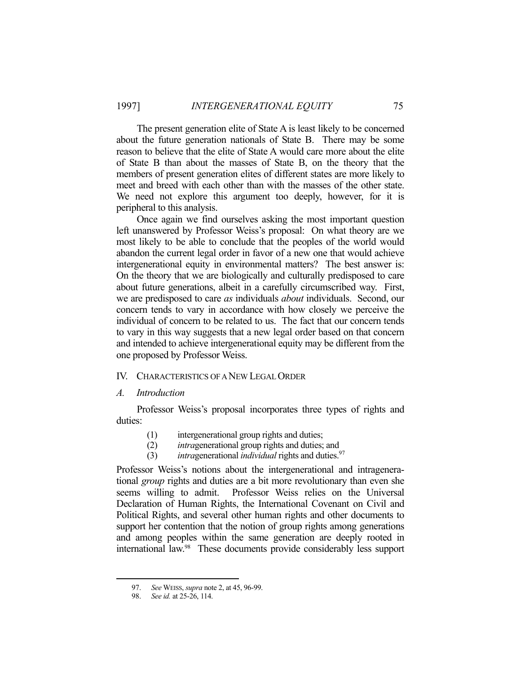The present generation elite of State A is least likely to be concerned about the future generation nationals of State B. There may be some reason to believe that the elite of State A would care more about the elite of State B than about the masses of State B, on the theory that the members of present generation elites of different states are more likely to meet and breed with each other than with the masses of the other state. We need not explore this argument too deeply, however, for it is peripheral to this analysis.

 Once again we find ourselves asking the most important question left unanswered by Professor Weiss's proposal: On what theory are we most likely to be able to conclude that the peoples of the world would abandon the current legal order in favor of a new one that would achieve intergenerational equity in environmental matters? The best answer is: On the theory that we are biologically and culturally predisposed to care about future generations, albeit in a carefully circumscribed way. First, we are predisposed to care *as* individuals *about* individuals. Second, our concern tends to vary in accordance with how closely we perceive the individual of concern to be related to us. The fact that our concern tends to vary in this way suggests that a new legal order based on that concern and intended to achieve intergenerational equity may be different from the one proposed by Professor Weiss.

### IV. CHARACTERISTICS OF A NEW LEGAL ORDER

## *A. Introduction*

 Professor Weiss's proposal incorporates three types of rights and duties:

- (1) intergenerational group rights and duties;
- (2) *intra*generational group rights and duties; and
- (3) *intra*generational *individual* rights and duties.97

Professor Weiss's notions about the intergenerational and intragenerational *group* rights and duties are a bit more revolutionary than even she seems willing to admit. Professor Weiss relies on the Universal Declaration of Human Rights, the International Covenant on Civil and Political Rights, and several other human rights and other documents to support her contention that the notion of group rights among generations and among peoples within the same generation are deeply rooted in international law.98 These documents provide considerably less support

 <sup>97.</sup> *See* WEISS, *supra* note 2, at 45, 96-99.

 <sup>98.</sup> *See id.* at 25-26, 114.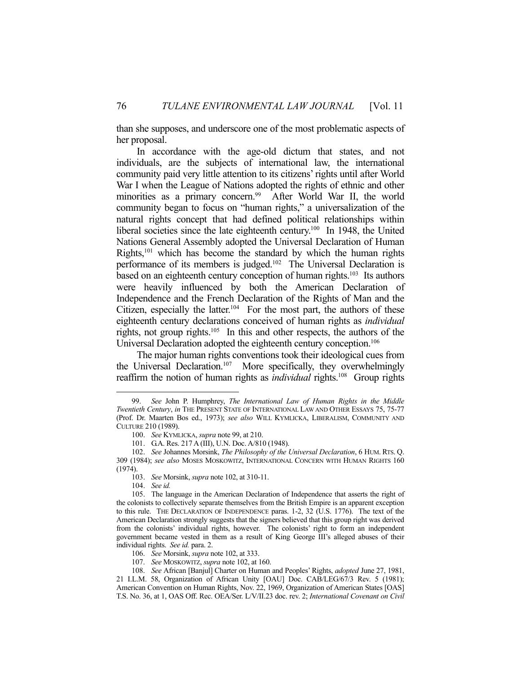than she supposes, and underscore one of the most problematic aspects of her proposal.

 In accordance with the age-old dictum that states, and not individuals, are the subjects of international law, the international community paid very little attention to its citizens' rights until after World War I when the League of Nations adopted the rights of ethnic and other minorities as a primary concern.<sup>99</sup> After World War II, the world community began to focus on "human rights," a universalization of the natural rights concept that had defined political relationships within liberal societies since the late eighteenth century.<sup>100</sup> In 1948, the United Nations General Assembly adopted the Universal Declaration of Human Rights,101 which has become the standard by which the human rights performance of its members is judged.102 The Universal Declaration is based on an eighteenth century conception of human rights.<sup>103</sup> Its authors were heavily influenced by both the American Declaration of Independence and the French Declaration of the Rights of Man and the Citizen, especially the latter.<sup>104</sup> For the most part, the authors of these eighteenth century declarations conceived of human rights as *individual*  rights, not group rights.105 In this and other respects, the authors of the Universal Declaration adopted the eighteenth century conception.<sup>106</sup>

 The major human rights conventions took their ideological cues from the Universal Declaration.<sup>107</sup> More specifically, they overwhelmingly reaffirm the notion of human rights as *individual* rights.<sup>108</sup> Group rights

 <sup>99.</sup> *See* John P. Humphrey, *The International Law of Human Rights in the Middle Twentieth Century*, *in* THE PRESENT STATE OF INTERNATIONAL LAW AND OTHER ESSAYS 75, 75-77 (Prof. Dr. Maarten Bos ed., 1973); *see also* WILL KYMLICKA, LIBERALISM, COMMUNITY AND CULTURE 210 (1989).

 <sup>100.</sup> *See* KYMLICKA, *supra* note 99, at 210.

 <sup>101.</sup> G.A. Res. 217 A (III), U.N. Doc. A/810 (1948).

 <sup>102.</sup> *See* Johannes Morsink, *The Philosophy of the Universal Declaration*, 6 HUM. RTS. Q. 309 (1984); *see also* MOSES MOSKOWITZ, INTERNATIONAL CONCERN WITH HUMAN RIGHTS 160 (1974).

 <sup>103.</sup> *See* Morsink, *supra* note 102, at 310-11.

 <sup>104.</sup> *See id.*

 <sup>105.</sup> The language in the American Declaration of Independence that asserts the right of the colonists to collectively separate themselves from the British Empire is an apparent exception to this rule. THE DECLARATION OF INDEPENDENCE paras. 1-2, 32 (U.S. 1776). The text of the American Declaration strongly suggests that the signers believed that this group right was derived from the colonists' individual rights, however. The colonists' right to form an independent government became vested in them as a result of King George III's alleged abuses of their individual rights. *See id.* para. 2.

 <sup>106.</sup> *See* Morsink, *supra* note 102, at 333.

 <sup>107.</sup> *See* MOSKOWITZ, *supra* note 102, at 160.

 <sup>108.</sup> *See* African [Banjul] Charter on Human and Peoples' Rights, *adopted* June 27, 1981, 21 I.L.M. 58, Organization of African Unity [OAU] Doc. CAB/LEG/67/3 Rev. 5 (1981); American Convention on Human Rights, Nov. 22, 1969, Organization of American States [OAS] T.S. No. 36, at 1, OAS Off. Rec. OEA/Ser. L/V/II.23 doc. rev. 2; *International Covenant on Civil*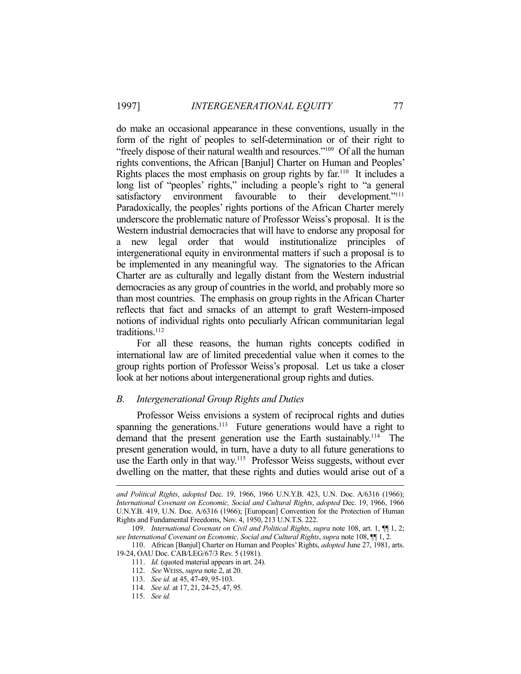do make an occasional appearance in these conventions, usually in the form of the right of peoples to self-determination or of their right to "freely dispose of their natural wealth and resources."109 Of all the human rights conventions, the African [Banjul] Charter on Human and Peoples' Rights places the most emphasis on group rights by far.110 It includes a long list of "peoples' rights," including a people's right to "a general satisfactory environment favourable to their development."<sup>111</sup> Paradoxically, the peoples' rights portions of the African Charter merely underscore the problematic nature of Professor Weiss's proposal. It is the Western industrial democracies that will have to endorse any proposal for a new legal order that would institutionalize principles of intergenerational equity in environmental matters if such a proposal is to be implemented in any meaningful way. The signatories to the African Charter are as culturally and legally distant from the Western industrial democracies as any group of countries in the world, and probably more so than most countries. The emphasis on group rights in the African Charter reflects that fact and smacks of an attempt to graft Western-imposed notions of individual rights onto peculiarly African communitarian legal traditions.<sup>112</sup>

 For all these reasons, the human rights concepts codified in international law are of limited precedential value when it comes to the group rights portion of Professor Weiss's proposal. Let us take a closer look at her notions about intergenerational group rights and duties.

# *B. Intergenerational Group Rights and Duties*

 Professor Weiss envisions a system of reciprocal rights and duties spanning the generations.<sup>113</sup> Future generations would have a right to demand that the present generation use the Earth sustainably.<sup>114</sup> The present generation would, in turn, have a duty to all future generations to use the Earth only in that way.<sup>115</sup> Professor Weiss suggests, without ever dwelling on the matter, that these rights and duties would arise out of a

*and Political Rights*, *adopted* Dec. 19, 1966, 1966 U.N.Y.B. 423, U.N. Doc. A/6316 (1966); *International Covenant on Economic, Social and Cultural Rights*, *adopted* Dec. 19, 1966, 1966 U.N.Y.B. 419, U.N. Doc. A/6316 (1966); [European] Convention for the Protection of Human Rights and Fundamental Freedoms, Nov. 4, 1950, 213 U.N.T.S. 222.

 <sup>109.</sup> *International Covenant on Civil and Political Rights*, *supra* note 108, art. 1, ¶¶ 1, 2; *see International Covenant on Economic, Social and Cultural Rights*, *supra* note 108, ¶¶ 1, 2.

 <sup>110.</sup> African [Banjul] Charter on Human and Peoples' Rights, *adopted* June 27, 1981, arts. 19-24, OAU Doc. CAB/LEG/67/3 Rev. 5 (1981).

 <sup>111.</sup> *Id.* (quoted material appears in art. 24).

 <sup>112.</sup> *See* WEISS, *supra* note 2, at 20.

 <sup>113.</sup> *See id.* at 45, 47-49, 95-103.

 <sup>114.</sup> *See id.* at 17, 21, 24-25, 47, 95.

 <sup>115.</sup> *See id.*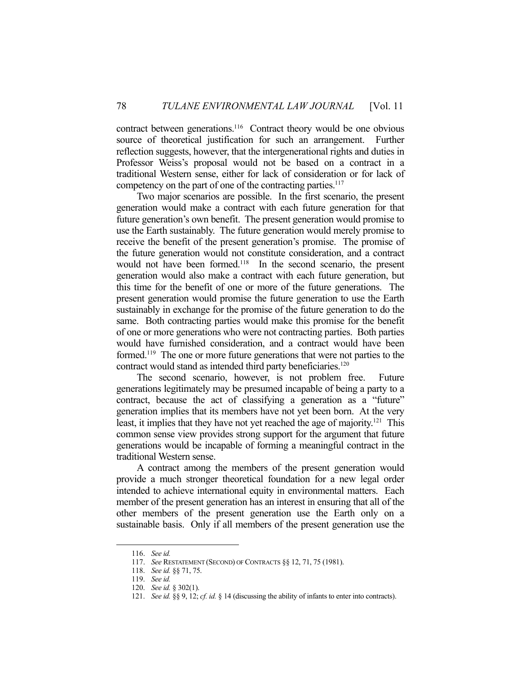contract between generations.<sup>116</sup> Contract theory would be one obvious source of theoretical justification for such an arrangement. Further reflection suggests, however, that the intergenerational rights and duties in Professor Weiss's proposal would not be based on a contract in a traditional Western sense, either for lack of consideration or for lack of competency on the part of one of the contracting parties.<sup>117</sup>

 Two major scenarios are possible. In the first scenario, the present generation would make a contract with each future generation for that future generation's own benefit. The present generation would promise to use the Earth sustainably. The future generation would merely promise to receive the benefit of the present generation's promise. The promise of the future generation would not constitute consideration, and a contract would not have been formed.<sup>118</sup> In the second scenario, the present generation would also make a contract with each future generation, but this time for the benefit of one or more of the future generations. The present generation would promise the future generation to use the Earth sustainably in exchange for the promise of the future generation to do the same. Both contracting parties would make this promise for the benefit of one or more generations who were not contracting parties. Both parties would have furnished consideration, and a contract would have been formed.119 The one or more future generations that were not parties to the contract would stand as intended third party beneficiaries.<sup>120</sup>

 The second scenario, however, is not problem free. Future generations legitimately may be presumed incapable of being a party to a contract, because the act of classifying a generation as a "future" generation implies that its members have not yet been born. At the very least, it implies that they have not yet reached the age of majority.<sup>121</sup> This common sense view provides strong support for the argument that future generations would be incapable of forming a meaningful contract in the traditional Western sense.

 A contract among the members of the present generation would provide a much stronger theoretical foundation for a new legal order intended to achieve international equity in environmental matters. Each member of the present generation has an interest in ensuring that all of the other members of the present generation use the Earth only on a sustainable basis. Only if all members of the present generation use the

 <sup>116.</sup> *See id.*

 <sup>117.</sup> *See* RESTATEMENT (SECOND) OF CONTRACTS §§ 12, 71, 75 (1981).

 <sup>118.</sup> *See id.* §§ 71, 75.

 <sup>119.</sup> *See id.*

 <sup>120.</sup> *See id.* § 302(1).

 <sup>121.</sup> *See id.* §§ 9, 12; *cf. id.* § 14 (discussing the ability of infants to enter into contracts).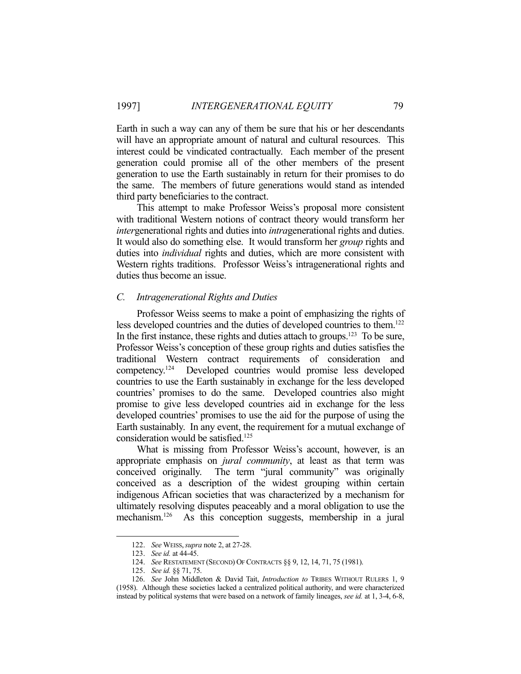Earth in such a way can any of them be sure that his or her descendants will have an appropriate amount of natural and cultural resources. This interest could be vindicated contractually. Each member of the present generation could promise all of the other members of the present generation to use the Earth sustainably in return for their promises to do the same. The members of future generations would stand as intended third party beneficiaries to the contract.

 This attempt to make Professor Weiss's proposal more consistent with traditional Western notions of contract theory would transform her *inter*generational rights and duties into *intra*generational rights and duties. It would also do something else. It would transform her *group* rights and duties into *individual* rights and duties, which are more consistent with Western rights traditions. Professor Weiss's intragenerational rights and duties thus become an issue.

#### *C. Intragenerational Rights and Duties*

 Professor Weiss seems to make a point of emphasizing the rights of less developed countries and the duties of developed countries to them.122 In the first instance, these rights and duties attach to groups.<sup>123</sup> To be sure, Professor Weiss's conception of these group rights and duties satisfies the traditional Western contract requirements of consideration and competency.124 Developed countries would promise less developed countries to use the Earth sustainably in exchange for the less developed countries' promises to do the same. Developed countries also might promise to give less developed countries aid in exchange for the less developed countries' promises to use the aid for the purpose of using the Earth sustainably. In any event, the requirement for a mutual exchange of consideration would be satisfied.<sup>125</sup>

 What is missing from Professor Weiss's account, however, is an appropriate emphasis on *jural community*, at least as that term was conceived originally. The term "jural community" was originally conceived as a description of the widest grouping within certain indigenous African societies that was characterized by a mechanism for ultimately resolving disputes peaceably and a moral obligation to use the mechanism.<sup>126</sup> As this conception suggests, membership in a jural

 <sup>122.</sup> *See* WEISS,*supra* note 2, at 27-28.

 <sup>123.</sup> *See id.* at 44-45.

 <sup>124.</sup> *See* RESTATEMENT (SECOND) OF CONTRACTS §§ 9, 12, 14, 71, 75 (1981).

 <sup>125.</sup> *See id.* §§ 71, 75.

 <sup>126.</sup> *See* John Middleton & David Tait, *Introduction to* TRIBES WITHOUT RULERS 1, 9 (1958). Although these societies lacked a centralized political authority, and were characterized instead by political systems that were based on a network of family lineages, *see id.* at 1, 3-4, 6-8,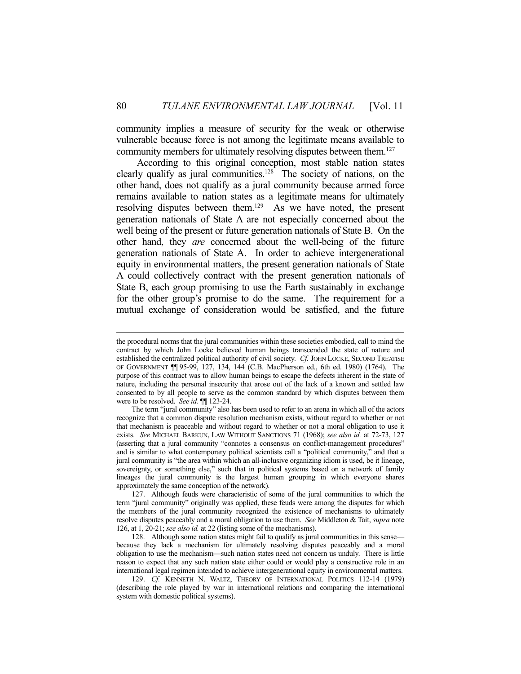community implies a measure of security for the weak or otherwise vulnerable because force is not among the legitimate means available to community members for ultimately resolving disputes between them.<sup>127</sup>

 According to this original conception, most stable nation states clearly qualify as jural communities.<sup>128</sup> The society of nations, on the other hand, does not qualify as a jural community because armed force remains available to nation states as a legitimate means for ultimately resolving disputes between them.<sup>129</sup> As we have noted, the present generation nationals of State A are not especially concerned about the well being of the present or future generation nationals of State B. On the other hand, they *are* concerned about the well-being of the future generation nationals of State A. In order to achieve intergenerational equity in environmental matters, the present generation nationals of State A could collectively contract with the present generation nationals of State B, each group promising to use the Earth sustainably in exchange for the other group's promise to do the same. The requirement for a mutual exchange of consideration would be satisfied, and the future

the procedural norms that the jural communities within these societies embodied, call to mind the contract by which John Locke believed human beings transcended the state of nature and established the centralized political authority of civil society. *Cf.* JOHN LOCKE, SECOND TREATISE OF GOVERNMENT ¶¶ 95-99, 127, 134, 144 (C.B. MacPherson ed., 6th ed. 1980) (1764). The purpose of this contract was to allow human beings to escape the defects inherent in the state of nature, including the personal insecurity that arose out of the lack of a known and settled law consented to by all people to serve as the common standard by which disputes between them were to be resolved. *See id.* ¶¶ 123-24.

The term "jural community" also has been used to refer to an arena in which all of the actors recognize that a common dispute resolution mechanism exists, without regard to whether or not that mechanism is peaceable and without regard to whether or not a moral obligation to use it exists. *See* MICHAEL BARKUN, LAW WITHOUT SANCTIONS 71 (1968); *see also id.* at 72-73, 127 (asserting that a jural community "connotes a consensus on conflict-management procedures" and is similar to what contemporary political scientists call a "political community," and that a jural community is "the area within which an all-inclusive organizing idiom is used, be it lineage, sovereignty, or something else," such that in political systems based on a network of family lineages the jural community is the largest human grouping in which everyone shares approximately the same conception of the network).

 <sup>127.</sup> Although feuds were characteristic of some of the jural communities to which the term "jural community" originally was applied, these feuds were among the disputes for which the members of the jural community recognized the existence of mechanisms to ultimately resolve disputes peaceably and a moral obligation to use them. *See* Middleton & Tait, *supra* note 126, at 1, 20-21; *see also id.* at 22 (listing some of the mechanisms).

 <sup>128.</sup> Although some nation states might fail to qualify as jural communities in this sense because they lack a mechanism for ultimately resolving disputes peaceably and a moral obligation to use the mechanism—such nation states need not concern us unduly. There is little reason to expect that any such nation state either could or would play a constructive role in an international legal regimen intended to achieve intergenerational equity in environmental matters.

 <sup>129.</sup> *Cf.* KENNETH N. WALTZ, THEORY OF INTERNATIONAL POLITICS 112-14 (1979) (describing the role played by war in international relations and comparing the international system with domestic political systems).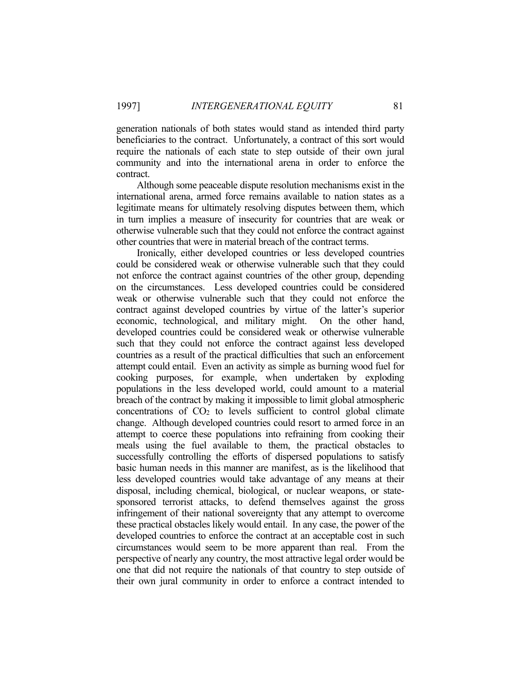generation nationals of both states would stand as intended third party beneficiaries to the contract. Unfortunately, a contract of this sort would require the nationals of each state to step outside of their own jural community and into the international arena in order to enforce the contract.

 Although some peaceable dispute resolution mechanisms exist in the international arena, armed force remains available to nation states as a legitimate means for ultimately resolving disputes between them, which in turn implies a measure of insecurity for countries that are weak or otherwise vulnerable such that they could not enforce the contract against other countries that were in material breach of the contract terms.

 Ironically, either developed countries or less developed countries could be considered weak or otherwise vulnerable such that they could not enforce the contract against countries of the other group, depending on the circumstances. Less developed countries could be considered weak or otherwise vulnerable such that they could not enforce the contract against developed countries by virtue of the latter's superior economic, technological, and military might. On the other hand, developed countries could be considered weak or otherwise vulnerable such that they could not enforce the contract against less developed countries as a result of the practical difficulties that such an enforcement attempt could entail. Even an activity as simple as burning wood fuel for cooking purposes, for example, when undertaken by exploding populations in the less developed world, could amount to a material breach of the contract by making it impossible to limit global atmospheric concentrations of  $CO<sub>2</sub>$  to levels sufficient to control global climate change. Although developed countries could resort to armed force in an attempt to coerce these populations into refraining from cooking their meals using the fuel available to them, the practical obstacles to successfully controlling the efforts of dispersed populations to satisfy basic human needs in this manner are manifest, as is the likelihood that less developed countries would take advantage of any means at their disposal, including chemical, biological, or nuclear weapons, or statesponsored terrorist attacks, to defend themselves against the gross infringement of their national sovereignty that any attempt to overcome these practical obstacles likely would entail. In any case, the power of the developed countries to enforce the contract at an acceptable cost in such circumstances would seem to be more apparent than real. From the perspective of nearly any country, the most attractive legal order would be one that did not require the nationals of that country to step outside of their own jural community in order to enforce a contract intended to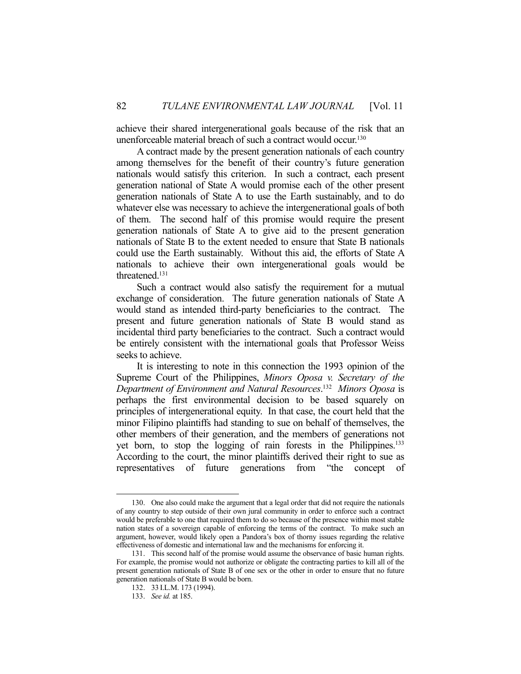achieve their shared intergenerational goals because of the risk that an unenforceable material breach of such a contract would occur.<sup>130</sup>

 A contract made by the present generation nationals of each country among themselves for the benefit of their country's future generation nationals would satisfy this criterion. In such a contract, each present generation national of State A would promise each of the other present generation nationals of State A to use the Earth sustainably, and to do whatever else was necessary to achieve the intergenerational goals of both of them. The second half of this promise would require the present generation nationals of State A to give aid to the present generation nationals of State B to the extent needed to ensure that State B nationals could use the Earth sustainably. Without this aid, the efforts of State A nationals to achieve their own intergenerational goals would be threatened.131

 Such a contract would also satisfy the requirement for a mutual exchange of consideration. The future generation nationals of State A would stand as intended third-party beneficiaries to the contract. The present and future generation nationals of State B would stand as incidental third party beneficiaries to the contract. Such a contract would be entirely consistent with the international goals that Professor Weiss seeks to achieve.

 It is interesting to note in this connection the 1993 opinion of the Supreme Court of the Philippines, *Minors Oposa v. Secretary of the Department of Environment and Natural Resources*. 132 *Minors Oposa* is perhaps the first environmental decision to be based squarely on principles of intergenerational equity. In that case, the court held that the minor Filipino plaintiffs had standing to sue on behalf of themselves, the other members of their generation, and the members of generations not yet born, to stop the logging of rain forests in the Philippines.133 According to the court, the minor plaintiffs derived their right to sue as representatives of future generations from "the concept of

 <sup>130.</sup> One also could make the argument that a legal order that did not require the nationals of any country to step outside of their own jural community in order to enforce such a contract would be preferable to one that required them to do so because of the presence within most stable nation states of a sovereign capable of enforcing the terms of the contract. To make such an argument, however, would likely open a Pandora's box of thorny issues regarding the relative effectiveness of domestic and international law and the mechanisms for enforcing it.

 <sup>131.</sup> This second half of the promise would assume the observance of basic human rights. For example, the promise would not authorize or obligate the contracting parties to kill all of the present generation nationals of State B of one sex or the other in order to ensure that no future generation nationals of State B would be born.

 <sup>132. 33</sup> I.L.M. 173 (1994).

 <sup>133.</sup> *See id.* at 185.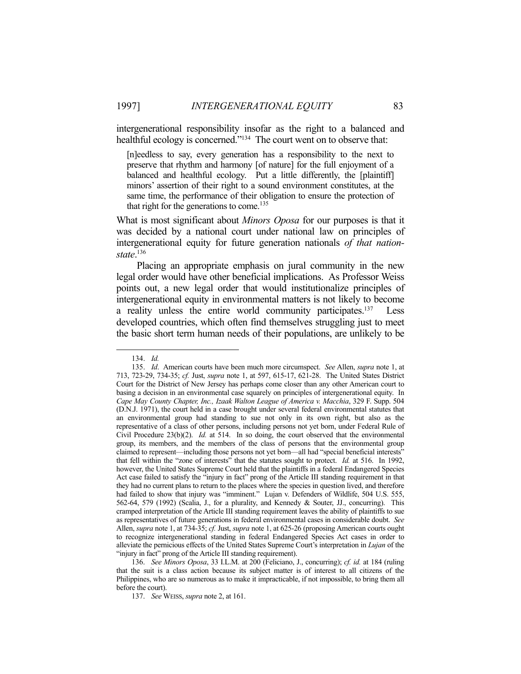intergenerational responsibility insofar as the right to a balanced and healthful ecology is concerned."<sup>134</sup> The court went on to observe that:

[n]eedless to say, every generation has a responsibility to the next to preserve that rhythm and harmony [of nature] for the full enjoyment of a balanced and healthful ecology. Put a little differently, the [plaintiff] minors' assertion of their right to a sound environment constitutes, at the same time, the performance of their obligation to ensure the protection of that right for the generations to come.<sup>135</sup>

What is most significant about *Minors Oposa* for our purposes is that it was decided by a national court under national law on principles of intergenerational equity for future generation nationals *of that nationstate*. 136

 Placing an appropriate emphasis on jural community in the new legal order would have other beneficial implications. As Professor Weiss points out, a new legal order that would institutionalize principles of intergenerational equity in environmental matters is not likely to become a reality unless the entire world community participates.<sup>137</sup> Less developed countries, which often find themselves struggling just to meet the basic short term human needs of their populations, are unlikely to be

 <sup>134.</sup> *Id.*

 <sup>135.</sup> *Id*. American courts have been much more circumspect. *See* Allen, *supra* note 1, at 713, 723-29, 734-35; *cf.* Just, *supra* note 1, at 597, 615-17, 621-28. The United States District Court for the District of New Jersey has perhaps come closer than any other American court to basing a decision in an environmental case squarely on principles of intergenerational equity. In *Cape May County Chapter, Inc., Izaak Walton League of America v. Macchia*, 329 F. Supp. 504 (D.N.J. 1971), the court held in a case brought under several federal environmental statutes that an environmental group had standing to sue not only in its own right, but also as the representative of a class of other persons, including persons not yet born, under Federal Rule of Civil Procedure 23(b)(2). *Id.* at 514. In so doing, the court observed that the environmental group, its members, and the members of the class of persons that the environmental group claimed to represent—including those persons not yet born—all had "special beneficial interests" that fell within the "zone of interests" that the statutes sought to protect. *Id.* at 516. In 1992, however, the United States Supreme Court held that the plaintiffs in a federal Endangered Species Act case failed to satisfy the "injury in fact" prong of the Article III standing requirement in that they had no current plans to return to the places where the species in question lived, and therefore had failed to show that injury was "imminent." Lujan v. Defenders of Wildlife, 504 U.S. 555, 562-64, 579 (1992) (Scalia, J., for a plurality, and Kennedy & Souter, JJ., concurring). This cramped interpretation of the Article III standing requirement leaves the ability of plaintiffs to sue as representatives of future generations in federal environmental cases in considerable doubt. *See*  Allen, *supra* note 1, at 734-35; *cf.* Just, *supra* note 1, at 625-26 (proposing American courts ought to recognize intergenerational standing in federal Endangered Species Act cases in order to alleviate the pernicious effects of the United States Supreme Court's interpretation in *Lujan* of the "injury in fact" prong of the Article III standing requirement).

 <sup>136.</sup> *See Minors Oposa*, 33 I.L.M. at 200 (Feliciano, J., concurring); *cf. id.* at 184 (ruling that the suit is a class action because its subject matter is of interest to all citizens of the Philippines, who are so numerous as to make it impracticable, if not impossible, to bring them all before the court).

 <sup>137.</sup> *See* WEISS, *supra* note 2, at 161.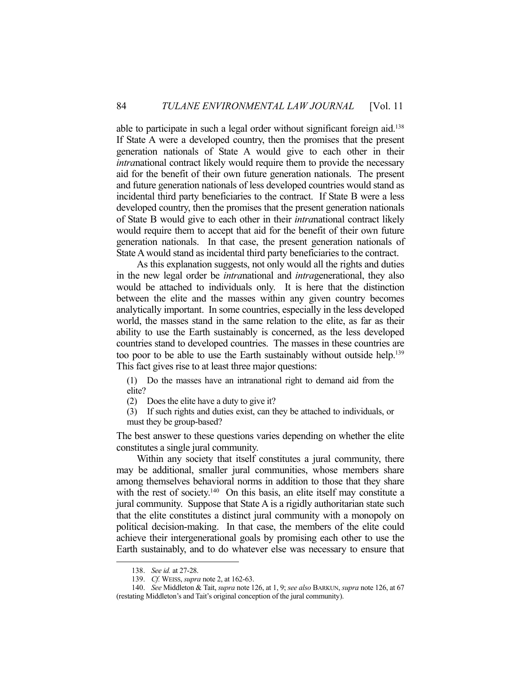able to participate in such a legal order without significant foreign aid.138 If State A were a developed country, then the promises that the present generation nationals of State A would give to each other in their *intra*national contract likely would require them to provide the necessary aid for the benefit of their own future generation nationals. The present and future generation nationals of less developed countries would stand as incidental third party beneficiaries to the contract. If State B were a less developed country, then the promises that the present generation nationals of State B would give to each other in their *intra*national contract likely would require them to accept that aid for the benefit of their own future generation nationals. In that case, the present generation nationals of State A would stand as incidental third party beneficiaries to the contract.

 As this explanation suggests, not only would all the rights and duties in the new legal order be *intra*national and *intra*generational, they also would be attached to individuals only. It is here that the distinction between the elite and the masses within any given country becomes analytically important. In some countries, especially in the less developed world, the masses stand in the same relation to the elite, as far as their ability to use the Earth sustainably is concerned, as the less developed countries stand to developed countries. The masses in these countries are too poor to be able to use the Earth sustainably without outside help.<sup>139</sup> This fact gives rise to at least three major questions:

(1) Do the masses have an intranational right to demand aid from the elite?

(2) Does the elite have a duty to give it?

(3) If such rights and duties exist, can they be attached to individuals, or must they be group-based?

The best answer to these questions varies depending on whether the elite constitutes a single jural community.

 Within any society that itself constitutes a jural community, there may be additional, smaller jural communities, whose members share among themselves behavioral norms in addition to those that they share with the rest of society.<sup>140</sup> On this basis, an elite itself may constitute a jural community. Suppose that State A is a rigidly authoritarian state such that the elite constitutes a distinct jural community with a monopoly on political decision-making. In that case, the members of the elite could achieve their intergenerational goals by promising each other to use the Earth sustainably, and to do whatever else was necessary to ensure that

 <sup>138.</sup> *See id.* at 27-28.

 <sup>139.</sup> *Cf.* WEISS, *supra* note 2, at 162-63.

 <sup>140.</sup> *See* Middleton & Tait, *supra* note 126, at 1, 9; *see also* BARKUN, *supra* note 126, at 67 (restating Middleton's and Tait's original conception of the jural community).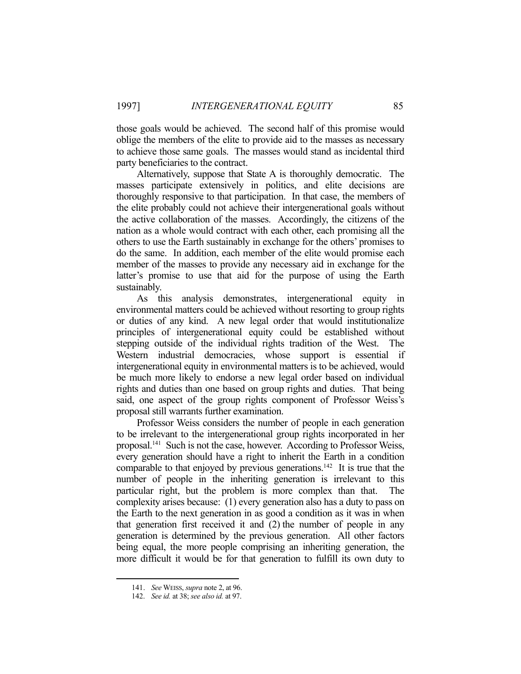those goals would be achieved. The second half of this promise would oblige the members of the elite to provide aid to the masses as necessary to achieve those same goals. The masses would stand as incidental third party beneficiaries to the contract.

 Alternatively, suppose that State A is thoroughly democratic. The masses participate extensively in politics, and elite decisions are thoroughly responsive to that participation. In that case, the members of the elite probably could not achieve their intergenerational goals without the active collaboration of the masses. Accordingly, the citizens of the nation as a whole would contract with each other, each promising all the others to use the Earth sustainably in exchange for the others' promises to do the same. In addition, each member of the elite would promise each member of the masses to provide any necessary aid in exchange for the latter's promise to use that aid for the purpose of using the Earth sustainably.

 As this analysis demonstrates, intergenerational equity in environmental matters could be achieved without resorting to group rights or duties of any kind. A new legal order that would institutionalize principles of intergenerational equity could be established without stepping outside of the individual rights tradition of the West. The Western industrial democracies, whose support is essential if intergenerational equity in environmental matters is to be achieved, would be much more likely to endorse a new legal order based on individual rights and duties than one based on group rights and duties. That being said, one aspect of the group rights component of Professor Weiss's proposal still warrants further examination.

 Professor Weiss considers the number of people in each generation to be irrelevant to the intergenerational group rights incorporated in her proposal.141 Such is not the case, however. According to Professor Weiss, every generation should have a right to inherit the Earth in a condition comparable to that enjoyed by previous generations.<sup>142</sup> It is true that the number of people in the inheriting generation is irrelevant to this particular right, but the problem is more complex than that. The complexity arises because: (1) every generation also has a duty to pass on the Earth to the next generation in as good a condition as it was in when that generation first received it and (2) the number of people in any generation is determined by the previous generation. All other factors being equal, the more people comprising an inheriting generation, the more difficult it would be for that generation to fulfill its own duty to

 <sup>141.</sup> *See* WEISS, *supra* note 2, at 96.

 <sup>142.</sup> *See id.* at 38; *see also id.* at 97.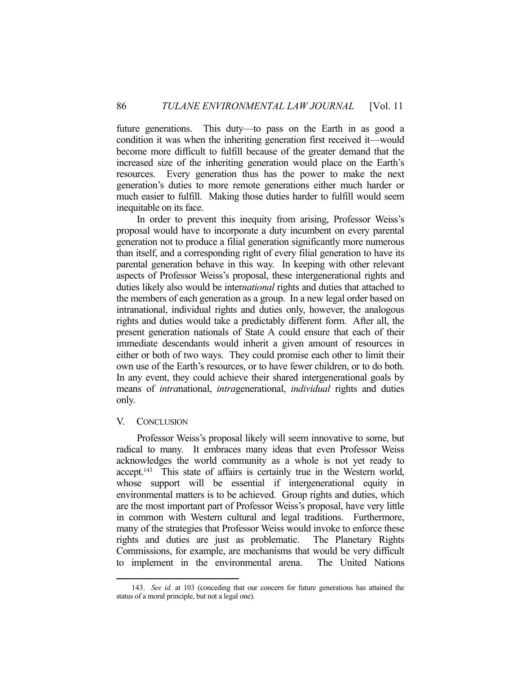future generations. This duty—to pass on the Earth in as good a condition it was when the inheriting generation first received it—would become more difficult to fulfill because of the greater demand that the increased size of the inheriting generation would place on the Earth's resources. Every generation thus has the power to make the next generation's duties to more remote generations either much harder or much easier to fulfill. Making those duties harder to fulfill would seem inequitable on its face.

 In order to prevent this inequity from arising, Professor Weiss's proposal would have to incorporate a duty incumbent on every parental generation not to produce a filial generation significantly more numerous than itself, and a corresponding right of every filial generation to have its parental generation behave in this way. In keeping with other relevant aspects of Professor Weiss's proposal, these intergenerational rights and duties likely also would be inter*national* rights and duties that attached to the members of each generation as a group. In a new legal order based on intranational, individual rights and duties only, however, the analogous rights and duties would take a predictably different form. After all, the present generation nationals of State A could ensure that each of their immediate descendants would inherit a given amount of resources in either or both of two ways. They could promise each other to limit their own use of the Earth's resources, or to have fewer children, or to do both. In any event, they could achieve their shared intergenerational goals by means of *intra*national, *intra*generational, *individual* rights and duties only.

### V. CONCLUSION

1

 Professor Weiss's proposal likely will seem innovative to some, but radical to many. It embraces many ideas that even Professor Weiss acknowledges the world community as a whole is not yet ready to accept.<sup>143</sup> This state of affairs is certainly true in the Western world, whose support will be essential if intergenerational equity in environmental matters is to be achieved. Group rights and duties, which are the most important part of Professor Weiss's proposal, have very little in common with Western cultural and legal traditions. Furthermore, many of the strategies that Professor Weiss would invoke to enforce these rights and duties are just as problematic. The Planetary Rights Commissions, for example, are mechanisms that would be very difficult to implement in the environmental arena. The United Nations

 <sup>143.</sup> *See id.* at 103 (conceding that our concern for future generations has attained the status of a moral principle, but not a legal one).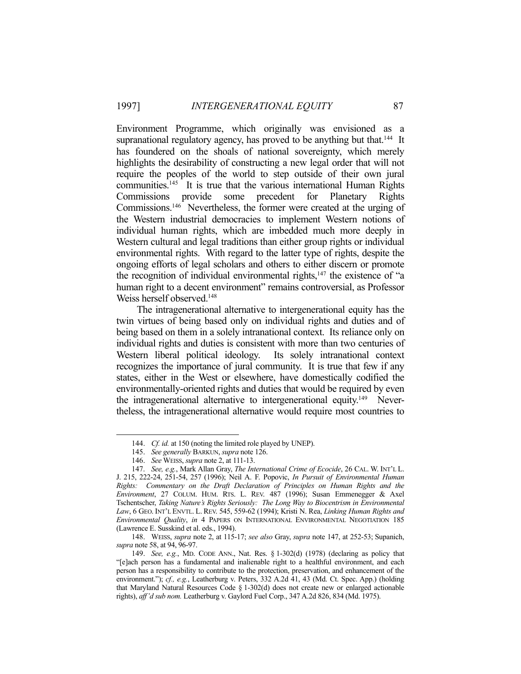Environment Programme, which originally was envisioned as a supranational regulatory agency, has proved to be anything but that.<sup>144</sup> It has foundered on the shoals of national sovereignty, which merely highlights the desirability of constructing a new legal order that will not require the peoples of the world to step outside of their own jural communities.<sup>145</sup> It is true that the various international Human Rights Commissions provide some precedent for Planetary Rights Commissions.146 Nevertheless, the former were created at the urging of the Western industrial democracies to implement Western notions of individual human rights, which are imbedded much more deeply in Western cultural and legal traditions than either group rights or individual environmental rights. With regard to the latter type of rights, despite the ongoing efforts of legal scholars and others to either discern or promote the recognition of individual environmental rights,<sup>147</sup> the existence of "a human right to a decent environment" remains controversial, as Professor Weiss herself observed.<sup>148</sup>

 The intragenerational alternative to intergenerational equity has the twin virtues of being based only on individual rights and duties and of being based on them in a solely intranational context. Its reliance only on individual rights and duties is consistent with more than two centuries of Western liberal political ideology. Its solely intranational context recognizes the importance of jural community. It is true that few if any states, either in the West or elsewhere, have domestically codified the environmentally-oriented rights and duties that would be required by even the intragenerational alternative to intergenerational equity.149 Nevertheless, the intragenerational alternative would require most countries to

 <sup>144.</sup> *Cf. id.* at 150 (noting the limited role played by UNEP).

 <sup>145.</sup> *See generally* BARKUN, *supra* note 126.

 <sup>146.</sup> *See* WEISS, *supra* note 2, at 111-13.

 <sup>147.</sup> *See, e.g.*, Mark Allan Gray, *The International Crime of Ecocide*, 26 CAL. W. INT'L L. J. 215, 222-24, 251-54, 257 (1996); Neil A. F. Popovic, *In Pursuit of Environmental Human Rights: Commentary on the Draft Declaration of Principles on Human Rights and the Environment*, 27 COLUM. HUM. RTS. L. REV. 487 (1996); Susan Emmenegger & Axel Tschentscher, *Taking Nature's Rights Seriously: The Long Way to Biocentrism in Environmental Law*, 6 GEO. INT'L ENVTL. L. REV. 545, 559-62 (1994); Kristi N. Rea, *Linking Human Rights and Environmental Quality*, *in* 4 PAPERS ON INTERNATIONAL ENVIRONMENTAL NEGOTIATION 185 (Lawrence E. Susskind et al. eds., 1994).

 <sup>148.</sup> WEISS, *supra* note 2, at 115-17; *see also* Gray, *supra* note 147, at 252-53; Supanich, *supra* note 58, at 94, 96-97.

 <sup>149.</sup> *See, e.g.*, MD. CODE ANN., Nat. Res. § 1-302(d) (1978) (declaring as policy that "[e]ach person has a fundamental and inalienable right to a healthful environment, and each person has a responsibility to contribute to the protection, preservation, and enhancement of the environment."); *cf., e.g.*, Leatherburg v. Peters, 332 A.2d 41, 43 (Md. Ct. Spec. App.) (holding that Maryland Natural Resources Code § 1-302(d) does not create new or enlarged actionable rights), *aff'd sub nom.* Leatherburg v. Gaylord Fuel Corp., 347 A.2d 826, 834 (Md. 1975).